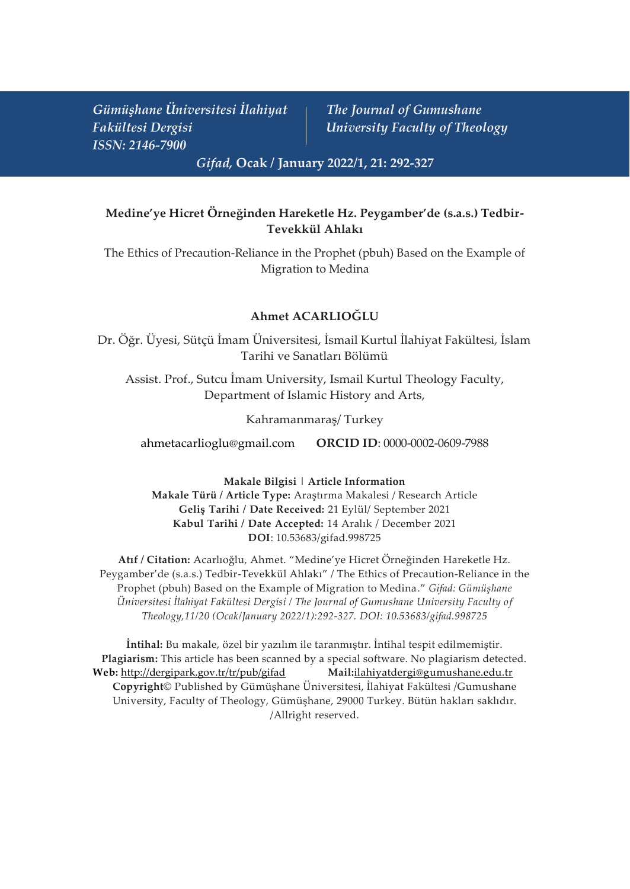*Gümüşhane Üniversitesi İlahiyat The Journal of Gumushane Fakültesi Dergisi University Faculty of Theology ISSN: 2146-7900*

*Gifad,* **Ocak / January 2022/1, 21: 292-327**

# **Medine'ye Hicret Örneğinden Hareketle Hz. Peygamber'de (s.a.s.) Tedbir-Tevekkül Ahlakı**

The Ethics of Precaution-Reliance in the Prophet (pbuh) Based on the Example of Migration to Medina

## **Ahmet ACARLIOĞLU**

Dr. Öğr. Üyesi, Sütçü İmam Üniversitesi, İsmail Kurtul İlahiyat Fakültesi, İslam Tarihi ve Sanatları Bölümü

Assist. Prof., Sutcu İmam University, Ismail Kurtul Theology Faculty, Department of Islamic History and Arts,

Kahramanmaraş/ Turkey

[ahmetacarlioglu@gmail.com](mailto:ahmetacarlioglu@gmail.com) **ORCID ID**: 0000-0002-0609-7988

**Makale Bilgisi | Article Information Makale Türü / Article Type:** Araştırma Makalesi / Research Article **Geliş Tarihi / Date Received:** 21 Eylül/ September 2021 **Kabul Tarihi / Date Accepted:** 14 Aralık / December 2021 **DOI**: 10.53683/gifad.998725

**Atıf / Citation:** Acarlıoğlu, Ahmet. "Medine'ye Hicret Örneğinden Hareketle Hz. Peygamber'de (s.a.s.) Tedbir-Tevekkül Ahlakı" / The Ethics of Precaution-Reliance in the Prophet (pbuh) Based on the Example of Migration to Medina." *Gifad: Gümüşhane Üniversitesi İlahiyat Fakültesi Dergisi / The Journal of Gumushane University Faculty of Theology,11/20 (Ocak/January 2022/1):292-327. DOI: 10.53683/gifad.998725*

**İntihal:** Bu makale, özel bir yazılım ile taranmıştır. İntihal tespit edilmemiştir. **Plagiarism:** This article has been scanned by a special software. No plagiarism detected. **Web:** <http://dergipark.gov.tr/tr/pub/gifad> **Mail:**[ilahiyatdergi@gumushane.edu.tr](mailto:ilahiyatdergi@gumushane.edu.tr) **Copyright**© Published by Gümüşhane Üniversitesi, İlahiyat Fakültesi /Gumushane University, Faculty of Theology, Gümüşhane, 29000 Turkey. Bütün hakları saklıdır. /Allright reserved.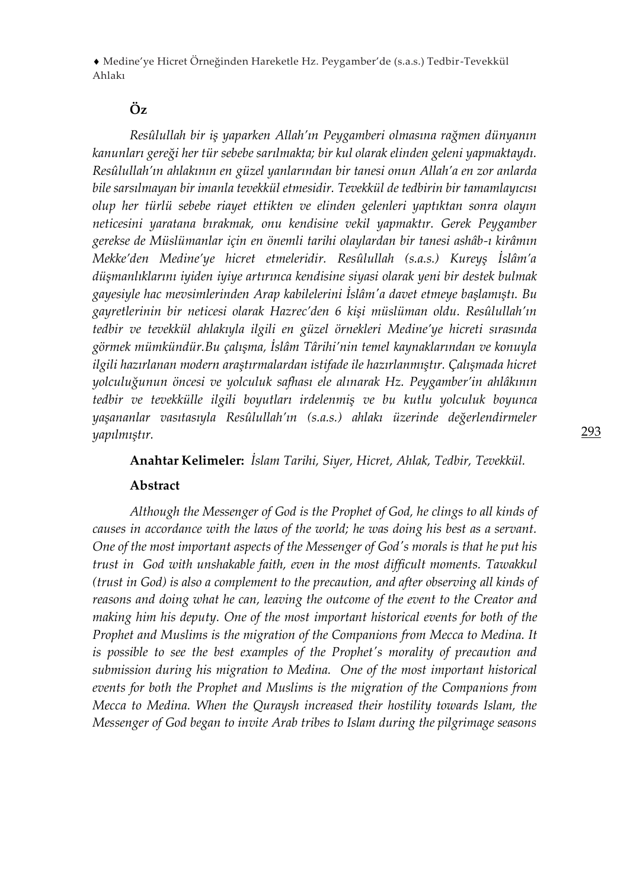# **Öz**

*Resûlullah bir iş yaparken Allah'ın Peygamberi olmasına rağmen dünyanın kanunları gereği her tür sebebe sarılmakta; bir kul olarak elinden geleni yapmaktaydı. Resûlullah'ın ahlakının en güzel yanlarından bir tanesi onun Allah'a en zor anlarda bile sarsılmayan bir imanla tevekkül etmesidir. Tevekkül de tedbirin bir tamamlayıcısı olup her türlü sebebe riayet ettikten ve elinden gelenleri yaptıktan sonra olayın neticesini yaratana bırakmak, onu kendisine vekil yapmaktır. Gerek Peygamber gerekse de Müslümanlar için en önemli tarihi olaylardan bir tanesi ashâb-ı kirâmın Mekke'den Medine'ye hicret etmeleridir. Resûlullah (s.a.s.) Kureyş İslâm'a düşmanlıklarını iyiden iyiye artırınca kendisine siyasi olarak yeni bir destek bulmak gayesiyle hac mevsimlerinden Arap kabilelerini İslâm'a davet etmeye başlamıştı. Bu gayretlerinin bir neticesi olarak Hazrec'den 6 kişi müslüman oldu. Resûlullah'ın tedbir ve tevekkül ahlakıyla ilgili en güzel örnekleri Medine'ye hicreti sırasında görmek mümkündür.Bu çalışma, İslâm Târihi'nin temel kaynaklarından ve konuyla ilgili hazırlanan modern araştırmalardan istifade ile hazırlanmıştır. Çalışmada hicret yolculuğunun öncesi ve yolculuk safhası ele alınarak Hz. Peygamber'in ahlâkının tedbir ve tevekkülle ilgili boyutları irdelenmiş ve bu kutlu yolculuk boyunca yaşananlar vasıtasıyla Resûlullah'ın (s.a.s.) ahlakı üzerinde değerlendirmeler yapılmıştır.* 

**Anahtar Kelimeler:** *İslam Tarihi, Siyer, Hicret, Ahlak, Tedbir, Tevekkül.*

#### **Abstract**

*Although the Messenger of God is the Prophet of God, he clings to all kinds of causes in accordance with the laws of the world; he was doing his best as a servant. One of the most important aspects of the Messenger of God's morals is that he put his trust in God with unshakable faith, even in the most difficult moments. Tawakkul (trust in God) is also a complement to the precaution, and after observing all kinds of reasons and doing what he can, leaving the outcome of the event to the Creator and making him his deputy. One of the most important historical events for both of the Prophet and Muslims is the migration of the Companions from Mecca to Medina. It is possible to see the best examples of the Prophet's morality of precaution and submission during his migration to Medina. One of the most important historical events for both the Prophet and Muslims is the migration of the Companions from Mecca to Medina. When the Quraysh increased their hostility towards Islam, the Messenger of God began to invite Arab tribes to Islam during the pilgrimage seasons*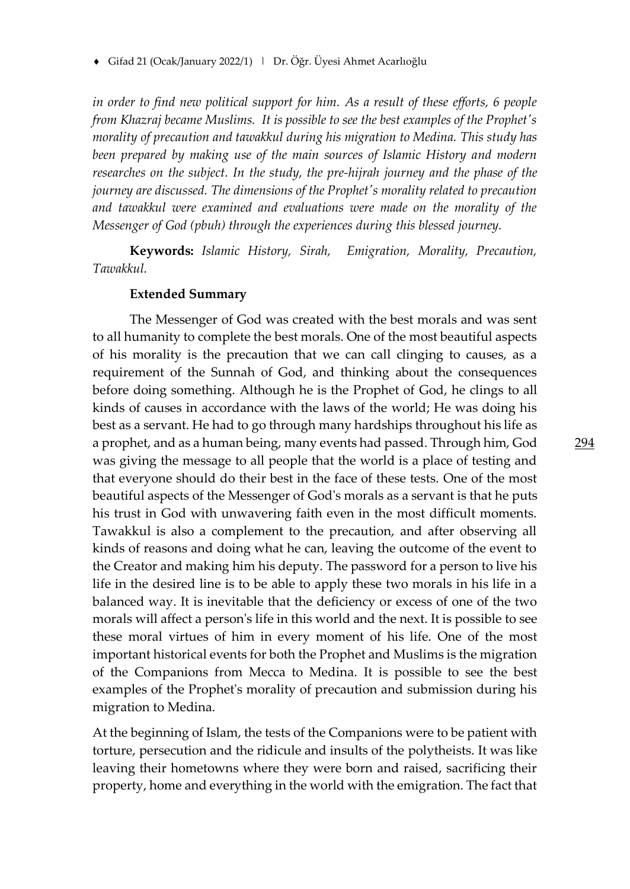*in order to find new political support for him. As a result of these efforts, 6 people from Khazraj became Muslims. It is possible to see the best examples of the Prophet's morality of precaution and tawakkul during his migration to Medina. This study has been prepared by making use of the main sources of Islamic History and modern researches on the subject. In the study, the pre-hijrah journey and the phase of the journey are discussed. The dimensions of the Prophet's morality related to precaution and tawakkul were examined and evaluations were made on the morality of the Messenger of God (pbuh) through the experiences during this blessed journey.*

**Keywords:** *Islamic History, Sirah, Emigration, Morality, Precaution, Tawakkul.*

#### **Extended Summary**

The Messenger of God was created with the best morals and was sent to all humanity to complete the best morals. One of the most beautiful aspects of his morality is the precaution that we can call clinging to causes, as a requirement of the Sunnah of God, and thinking about the consequences before doing something. Although he is the Prophet of God, he clings to all kinds of causes in accordance with the laws of the world; He was doing his best as a servant. He had to go through many hardships throughout his life as a prophet, and as a human being, many events had passed. Through him, God was giving the message to all people that the world is a place of testing and that everyone should do their best in the face of these tests. One of the most beautiful aspects of the Messenger of God's morals as a servant is that he puts his trust in God with unwavering faith even in the most difficult moments. Tawakkul is also a complement to the precaution, and after observing all kinds of reasons and doing what he can, leaving the outcome of the event to the Creator and making him his deputy. The password for a person to live his life in the desired line is to be able to apply these two morals in his life in a balanced way. It is inevitable that the deficiency or excess of one of the two morals will affect a person's life in this world and the next. It is possible to see these moral virtues of him in every moment of his life. One of the most important historical events for both the Prophet and Muslims is the migration of the Companions from Mecca to Medina. It is possible to see the best examples of the Prophet's morality of precaution and submission during his migration to Medina.

At the beginning of Islam, the tests of the Companions were to be patient with torture, persecution and the ridicule and insults of the polytheists. It was like leaving their hometowns where they were born and raised, sacrificing their property, home and everything in the world with the emigration. The fact that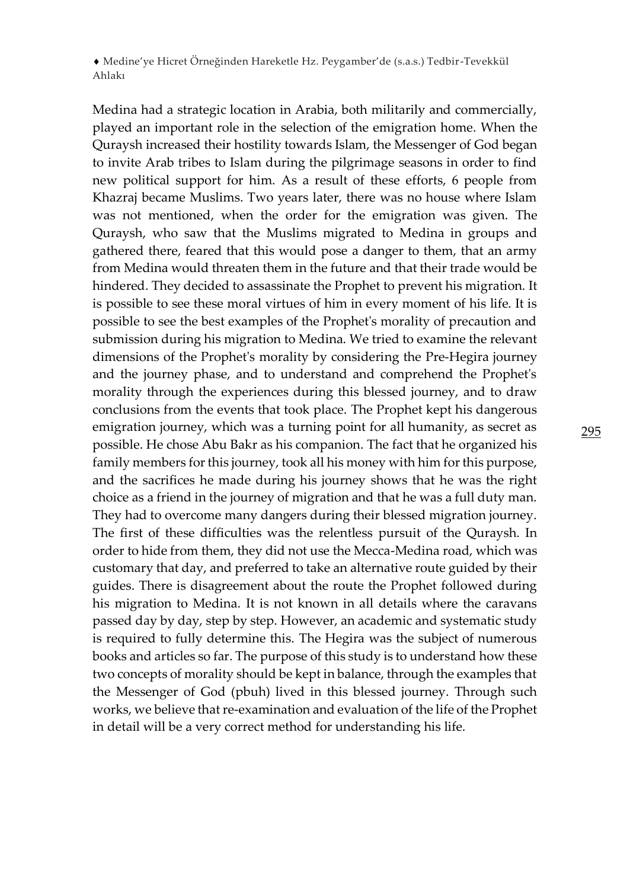Medina had a strategic location in Arabia, both militarily and commercially, played an important role in the selection of the emigration home. When the Quraysh increased their hostility towards Islam, the Messenger of God began to invite Arab tribes to Islam during the pilgrimage seasons in order to find new political support for him. As a result of these efforts, 6 people from Khazraj became Muslims. Two years later, there was no house where Islam was not mentioned, when the order for the emigration was given. The Quraysh, who saw that the Muslims migrated to Medina in groups and gathered there, feared that this would pose a danger to them, that an army from Medina would threaten them in the future and that their trade would be hindered. They decided to assassinate the Prophet to prevent his migration. It is possible to see these moral virtues of him in every moment of his life. It is possible to see the best examples of the Prophet's morality of precaution and submission during his migration to Medina. We tried to examine the relevant dimensions of the Prophet's morality by considering the Pre-Hegira journey and the journey phase, and to understand and comprehend the Prophet's morality through the experiences during this blessed journey, and to draw conclusions from the events that took place. The Prophet kept his dangerous emigration journey, which was a turning point for all humanity, as secret as possible. He chose Abu Bakr as his companion. The fact that he organized his family members for this journey, took all his money with him for this purpose, and the sacrifices he made during his journey shows that he was the right choice as a friend in the journey of migration and that he was a full duty man. They had to overcome many dangers during their blessed migration journey. The first of these difficulties was the relentless pursuit of the Quraysh. In order to hide from them, they did not use the Mecca-Medina road, which was customary that day, and preferred to take an alternative route guided by their guides. There is disagreement about the route the Prophet followed during his migration to Medina. It is not known in all details where the caravans passed day by day, step by step. However, an academic and systematic study is required to fully determine this. The Hegira was the subject of numerous books and articles so far. The purpose of this study is to understand how these two concepts of morality should be kept in balance, through the examples that the Messenger of God (pbuh) lived in this blessed journey. Through such works, we believe that re-examination and evaluation of the life of the Prophet in detail will be a very correct method for understanding his life.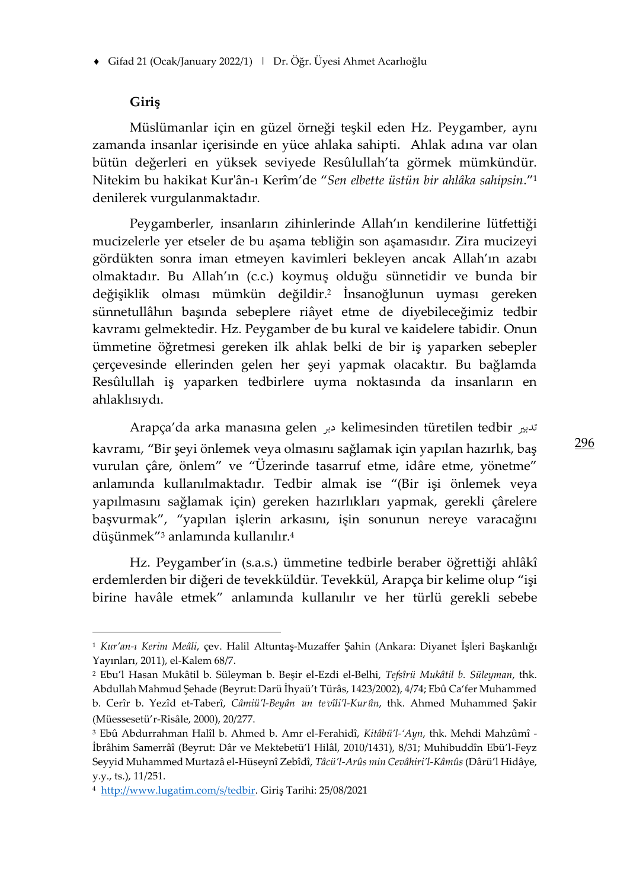#### **Giriş**

Müslümanlar için en güzel örneği teşkil eden Hz. Peygamber, aynı zamanda insanlar içerisinde en yüce ahlaka sahipti. Ahlak adına var olan bütün değerleri en yüksek seviyede Resûlullah'ta görmek mümkündür. Nitekim bu hakikat Kur'ân-ı Kerîm'de "*Sen elbette üstün bir ahlâka sahipsin*."<sup>1</sup> denilerek vurgulanmaktadır.

Peygamberler, insanların zihinlerinde Allah'ın kendilerine lütfettiği mucizelerle yer etseler de bu aşama tebliğin son aşamasıdır. Zira mucizeyi gördükten sonra iman etmeyen kavimleri bekleyen ancak Allah'ın azabı olmaktadır. Bu Allah'ın (c.c.) koymuş olduğu sünnetidir ve bunda bir değişiklik olması mümkün değildir.<sup>2</sup> İnsanoğlunun uyması gereken sünnetullâhın başında sebeplere riâyet etme de diyebileceğimiz tedbir kavramı gelmektedir. Hz. Peygamber de bu kural ve kaidelere tabidir. Onun ümmetine öğretmesi gereken ilk ahlak belki de bir iş yaparken sebepler çerçevesinde ellerinden gelen her şeyi yapmak olacaktır. Bu bağlamda Resûlullah iş yaparken tedbirlere uyma noktasında da insanların en ahlaklısıydı.

Arapça'da arka manasına gelen دبر kelimesinden türetilen tedbir تدبري kavramı, "Bir şeyi önlemek veya olmasını sağlamak için yapılan hazırlık, baş vurulan çâre, önlem" ve "Üzerinde tasarruf etme, idâre etme, yönetme" anlamında kullanılmaktadır. Tedbir almak ise "(Bir işi önlemek veya yapılmasını sağlamak için) gereken hazırlıkları yapmak, gerekli çârelere başvurmak", "yapılan işlerin arkasını, işin sonunun nereye varacağını düşünmek"<sup>3</sup> anlamında kullanılır.<sup>4</sup>

Hz. Peygamber'in (s.a.s.) ümmetine tedbirle beraber öğrettiği ahlâkî erdemlerden bir diğeri de tevekküldür. Tevekkül, Arapça bir kelime olup "işi birine havâle etmek" anlamında kullanılır ve her türlü gerekli sebebe

<sup>1</sup> *Kur'an-ı Kerim Meâli*, çev. Halil Altuntaş-Muzaffer Şahin (Ankara: Diyanet İşleri Başkanlığı Yayınları, 2011), el-Kalem 68/7.

<sup>2</sup> Ebu'l Hasan Mukâtil b. Süleyman b. Beşir el-Ezdi el-Belhi, *Tefsîrü Mukâtil b. Süleyman*, thk. Abdullah Mahmud Şehade (Beyrut: Darü İhyaü't Türâs, 1423/2002), 4/74; Ebû Ca'fer Muhammed b. Cerîr b. Yezîd et-Taberî, *Câmiü'l-Beyân* ʿ*an te*ʾ*vîli'l-Kur*ʾ*ân*, thk. Ahmed Muhammed Şakir (Müessesetü'r-Risâle, 2000), 20/277.

<sup>3</sup> Ebû Abdurrahman Halîl b. Ahmed b. Amr el-Ferahidî, *Kitâbü'l-'Ayn*, thk. Mehdi Mahzûmî - İbrâhim Samerrâî (Beyrut: Dâr ve Mektebetü'l Hilâl, 2010/1431), 8/31; Muhibuddîn Ebü'l-Feyz Seyyid Muhammed Murtazâ el-Hüseynî Zebîdî, *Tâcü'l-Arûs min Cevâhiri'l-Kâmûs* (Dârü'l Hidâye, y.y., ts.), 11/251.

<sup>4</sup> <http://www.lugatim.com/s/tedbir>. Giriş Tarihi: 25/08/2021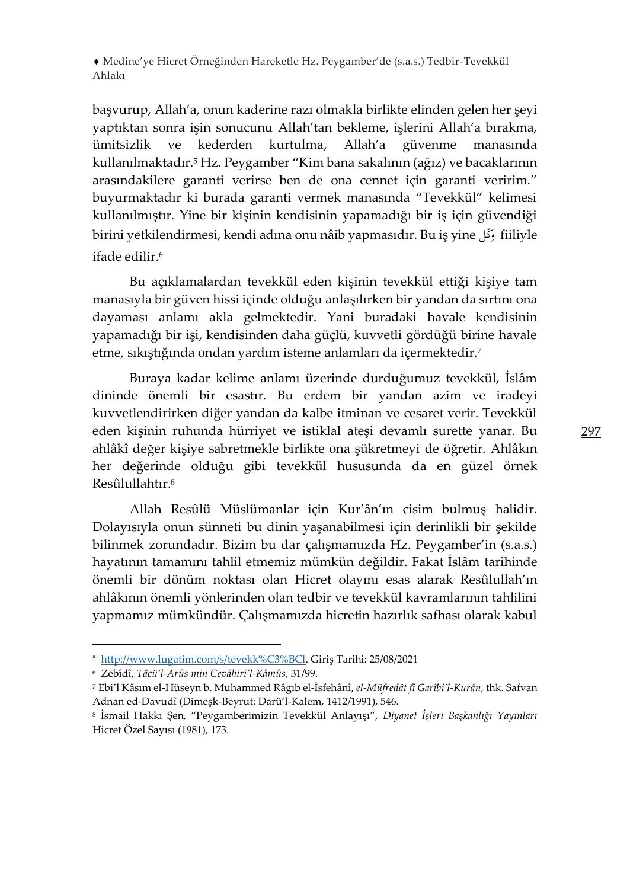başvurup, Allah'a, onun kaderine razı olmakla birlikte elinden gelen her şeyi yaptıktan sonra işin sonucunu Allah'tan bekleme, işlerini Allah'a bırakma, ümitsizlik ve kederden kurtulma, Allah'a güvenme manasında kullanılmaktadır.<sup>5</sup> Hz. Peygamber "Kim bana sakalının (ağız) ve bacaklarının arasındakilere garanti verirse ben de ona cennet için garanti veririm." buyurmaktadır ki burada garanti vermek manasında "Tevekkül" kelimesi kullanılmıştır. Yine bir kişinin kendisinin yapamadığı bir iş için güvendiği birini yetkilendirmesi, kendi adına onu nâib yapmasıdır. Bu iş yine كلّو fiiliyle ifade edilir $6$ 

Bu açıklamalardan tevekkül eden kişinin tevekkül ettiği kişiye tam manasıyla bir güven hissi içinde olduğu anlaşılırken bir yandan da sırtını ona dayaması anlamı akla gelmektedir. Yani buradaki havale kendisinin yapamadığı bir işi, kendisinden daha güçlü, kuvvetli gördüğü birine havale etme, sıkıştığında ondan yardım isteme anlamları da içermektedir.<sup>7</sup>

Buraya kadar kelime anlamı üzerinde durduğumuz tevekkül, İslâm dininde önemli bir esastır. Bu erdem bir yandan azim ve iradeyi kuvvetlendirirken diğer yandan da kalbe itminan ve cesaret verir. Tevekkül eden kişinin ruhunda hürriyet ve istiklal ateşi devamlı surette yanar. Bu ahlâkî değer kişiye sabretmekle birlikte ona şükretmeyi de öğretir. Ahlâkın her değerinde olduğu gibi tevekkül hususunda da en güzel örnek Resûlullahtır.<sup>8</sup>

Allah Resûlü Müslümanlar için Kur'ân'ın cisim bulmuş halidir. Dolayısıyla onun sünneti bu dinin yaşanabilmesi için derinlikli bir şekilde bilinmek zorundadır. Bizim bu dar çalışmamızda Hz. Peygamber'in (s.a.s.) hayatının tamamını tahlil etmemiz mümkün değildir. Fakat İslâm tarihinde önemli bir dönüm noktası olan Hicret olayını esas alarak Resûlullah'ın ahlâkının önemli yönlerinden olan tedbir ve tevekkül kavramlarının tahlilini yapmamız mümkündür. Çalışmamızda hicretin hazırlık safhası olarak kabul

<sup>5</sup> <http://www.lugatim.com/s/tevekk%C3%BCl>. Giriş Tarihi: 25/08/2021

<sup>6</sup> Zebîdî, *Tâcü'l-Arûs min Cevâhiri'l-Kâmûs*, 31/99.

<sup>7</sup> Ebi'l Kâsım el-Hüseyn b. Muhammed Râgıb el-İsfehânî, *el-Müfredât fî Garîbi'l-Kurân*, thk. Safvan Adnan ed-Davudî (Dimeşk-Beyrut: Darü'l-Kalem, 1412/1991), 546.

<sup>8</sup> İsmail Hakkı Şen, "Peygamberimizin Tevekkül Anlayışı", *Diyanet İşleri Başkanlığı Yayınları* Hicret Özel Sayısı (1981), 173.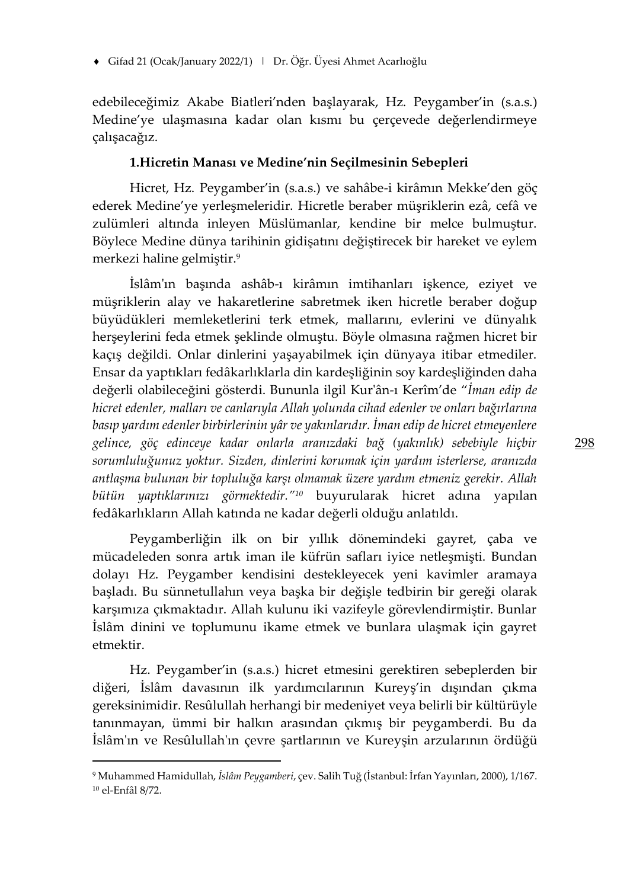edebileceğimiz Akabe Biatleri'nden başlayarak, Hz. Peygamber'in (s.a.s.) Medine'ye ulaşmasına kadar olan kısmı bu çerçevede değerlendirmeye çalışacağız.

#### **1.Hicretin Manası ve Medine'nin Seçilmesinin Sebepleri**

Hicret, Hz. Peygamber'in (s.a.s.) ve sahâbe-i kirâmın Mekke'den göç ederek Medine'ye yerleşmeleridir. Hicretle beraber müşriklerin ezâ, cefâ ve zulümleri altında inleyen Müslümanlar, kendine bir melce bulmuştur. Böylece Medine dünya tarihinin gidişatını değiştirecek bir hareket ve eylem merkezi haline gelmiştir. 9

İslâm'ın başında ashâb-ı kirâmın imtihanları işkence, eziyet ve müşriklerin alay ve hakaretlerine sabretmek iken hicretle beraber doğup büyüdükleri memleketlerini terk etmek, mallarını, evlerini ve dünyalık herşeylerini feda etmek şeklinde olmuştu. Böyle olmasına rağmen hicret bir kaçış değildi. Onlar dinlerini yaşayabilmek için dünyaya itibar etmediler. Ensar da yaptıkları fedâkarlıklarla din kardeşliğinin soy kardeşliğinden daha değerli olabileceğini gösterdi. Bununla ilgil Kur'ân-ı Kerîm'de "*İman edip de hicret edenler, malları ve canlarıyla Allah yolunda cihad edenler ve onları bağırlarına basıp yardım edenler birbirlerinin yâr ve yakınlarıdır. İman edip de hicret etmeyenlere gelince, göç edinceye kadar onlarla aranızdaki bağ (yakınlık) sebebiyle hiçbir sorumluluğunuz yoktur. Sizden, dinlerini korumak için yardım isterlerse, aranızda antlaşma bulunan bir topluluğa karşı olmamak üzere yardım etmeniz gerekir. Allah bütün yaptıklarınızı görmektedir."<sup>10</sup>* buyurularak hicret adına yapılan fedâkarlıkların Allah katında ne kadar değerli olduğu anlatıldı.

Peygamberliğin ilk on bir yıllık dönemindeki gayret, çaba ve mücadeleden sonra artık iman ile küfrün safları iyice netleşmişti. Bundan dolayı Hz. Peygamber kendisini destekleyecek yeni kavimler aramaya başladı. Bu sünnetullahın veya başka bir değişle tedbirin bir gereği olarak karşımıza çıkmaktadır. Allah kulunu iki vazifeyle görevlendirmiştir. Bunlar İslâm dinini ve toplumunu ikame etmek ve bunlara ulaşmak için gayret etmektir.

Hz. Peygamber'in (s.a.s.) hicret etmesini gerektiren sebeplerden bir diğeri, İslâm davasının ilk yardımcılarının Kureyş'in dışından çıkma gereksinimidir. Resûlullah herhangi bir medeniyet veya belirli bir kültürüyle tanınmayan, ümmi bir halkın arasından çıkmış bir peygamberdi. Bu da İslâm'ın ve Resûlullah'ın çevre şartlarının ve Kureyşin arzularının ördüğü

<sup>9</sup> Muhammed Hamidullah, *İslâm Peygamberi*, çev. Salih Tuğ (İstanbul: İrfan Yayınları, 2000), 1/167. <sup>10</sup> el-Enfâl 8/72.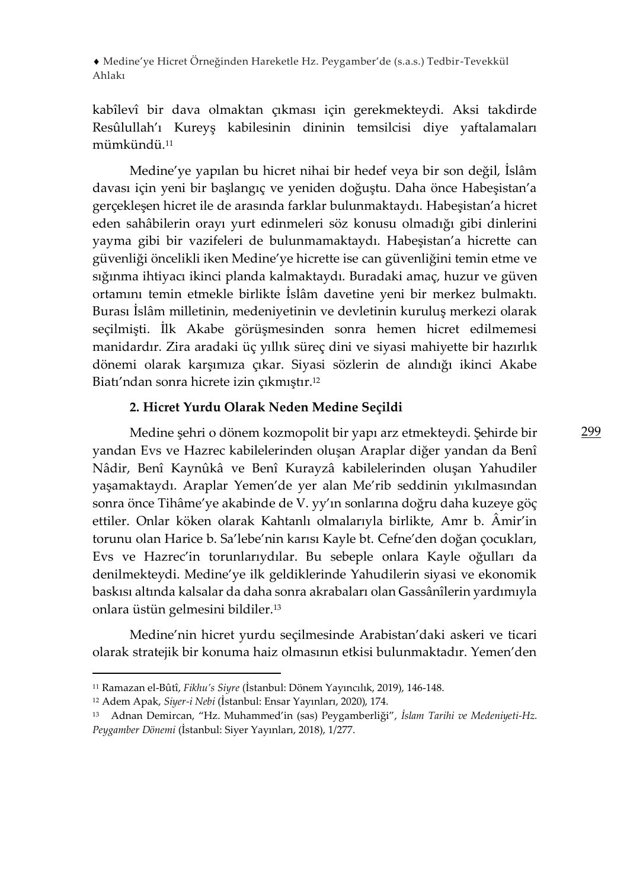kabîlevî bir dava olmaktan çıkması için gerekmekteydi. Aksi takdirde Resûlullah'ı Kureyş kabilesinin dininin temsilcisi diye yaftalamaları mümkündü.<sup>11</sup>

Medine'ye yapılan bu hicret nihai bir hedef veya bir son değil, İslâm davası için yeni bir başlangıç ve yeniden doğuştu. Daha önce Habeşistan'a gerçekleşen hicret ile de arasında farklar bulunmaktaydı. Habeşistan'a hicret eden sahâbilerin orayı yurt edinmeleri söz konusu olmadığı gibi dinlerini yayma gibi bir vazifeleri de bulunmamaktaydı. Habeşistan'a hicrette can güvenliği öncelikli iken Medine'ye hicrette ise can güvenliğini temin etme ve sığınma ihtiyacı ikinci planda kalmaktaydı. Buradaki amaç, huzur ve güven ortamını temin etmekle birlikte İslâm davetine yeni bir merkez bulmaktı. Burası İslâm milletinin, medeniyetinin ve devletinin kuruluş merkezi olarak seçilmişti. İlk Akabe görüşmesinden sonra hemen hicret edilmemesi manidardır. Zira aradaki üç yıllık süreç dini ve siyasi mahiyette bir hazırlık dönemi olarak karşımıza çıkar. Siyasi sözlerin de alındığı ikinci Akabe Biatı'ndan sonra hicrete izin çıkmıştır. 12

#### **2. Hicret Yurdu Olarak Neden Medine Seçildi**

Medine şehri o dönem kozmopolit bir yapı arz etmekteydi. Şehirde bir yandan Evs ve Hazrec kabilelerinden oluşan Araplar diğer yandan da Benî Nâdir, Benî Kaynûkâ ve Benî Kurayzâ kabilelerinden oluşan Yahudiler yaşamaktaydı. Araplar Yemen'de yer alan Me'rib seddinin yıkılmasından sonra önce Tihâme'ye akabinde de V. yy'ın sonlarına doğru daha kuzeye göç ettiler. Onlar köken olarak Kahtanlı olmalarıyla birlikte, Amr b. Âmir'in torunu olan Harice b. Sa'lebe'nin karısı Kayle bt. Cefne'den doğan çocukları, Evs ve Hazrec'in torunlarıydılar. Bu sebeple onlara Kayle oğulları da denilmekteydi. Medine'ye ilk geldiklerinde Yahudilerin siyasi ve ekonomik baskısı altında kalsalar da daha sonra akrabaları olan Gassânîlerin yardımıyla onlara üstün gelmesini bildiler.<sup>13</sup>

Medine'nin hicret yurdu seçilmesinde Arabistan'daki askeri ve ticari olarak stratejik bir konuma haiz olmasının etkisi bulunmaktadır. Yemen'den

<sup>11</sup> Ramazan el-Bûtî, *Fikhu's Siyre* (İstanbul: Dönem Yayıncılık, 2019), 146-148.

<sup>12</sup> Adem Apak, *Siyer-i Nebi* (İstanbul: Ensar Yayınları, 2020), 174.

<sup>13</sup> Adnan Demircan, "Hz. Muhammed'in (sas) Peygamberliği", *İslam Tarihi ve Medeniyeti-Hz. Peygamber Dönemi* (İstanbul: Siyer Yayınları, 2018), 1/277.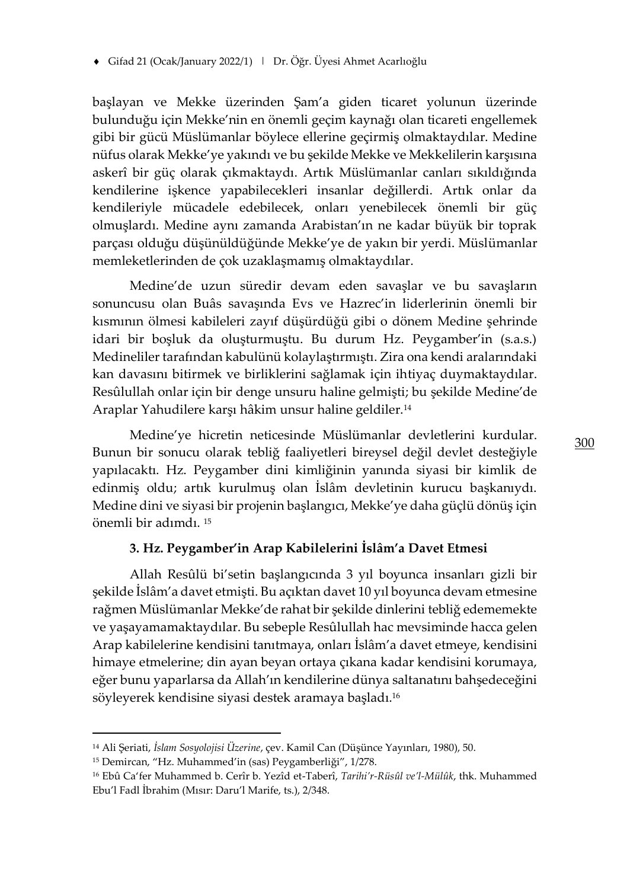başlayan ve Mekke üzerinden Şam'a giden ticaret yolunun üzerinde bulunduğu için Mekke'nin en önemli geçim kaynağı olan ticareti engellemek gibi bir gücü Müslümanlar böylece ellerine geçirmiş olmaktaydılar. Medine nüfus olarak Mekke'ye yakındı ve bu şekilde Mekke ve Mekkelilerin karşısına askerî bir güç olarak çıkmaktaydı. Artık Müslümanlar canları sıkıldığında kendilerine işkence yapabilecekleri insanlar değillerdi. Artık onlar da kendileriyle mücadele edebilecek, onları yenebilecek önemli bir güç olmuşlardı. Medine aynı zamanda Arabistan'ın ne kadar büyük bir toprak parçası olduğu düşünüldüğünde Mekke'ye de yakın bir yerdi. Müslümanlar memleketlerinden de çok uzaklaşmamış olmaktaydılar.

Medine'de uzun süredir devam eden savaşlar ve bu savaşların sonuncusu olan Buâs savaşında Evs ve Hazrec'in liderlerinin önemli bir kısmının ölmesi kabileleri zayıf düşürdüğü gibi o dönem Medine şehrinde idari bir boşluk da oluşturmuştu. Bu durum Hz. Peygamber'in (s.a.s.) Medineliler tarafından kabulünü kolaylaştırmıştı. Zira ona kendi aralarındaki kan davasını bitirmek ve birliklerini sağlamak için ihtiyaç duymaktaydılar. Resûlullah onlar için bir denge unsuru haline gelmişti; bu şekilde Medine'de Araplar Yahudilere karşı hâkim unsur haline geldiler.<sup>14</sup>

Medine'ye hicretin neticesinde Müslümanlar devletlerini kurdular. Bunun bir sonucu olarak tebliğ faaliyetleri bireysel değil devlet desteğiyle yapılacaktı. Hz. Peygamber dini kimliğinin yanında siyasi bir kimlik de edinmiş oldu; artık kurulmuş olan İslâm devletinin kurucu başkanıydı. Medine dini ve siyasi bir projenin başlangıcı, Mekke'ye daha güçlü dönüş için önemli bir adımdı. <sup>15</sup>

#### **3. Hz. Peygamber'in Arap Kabilelerini İslâm'a Davet Etmesi**

Allah Resûlü bi'setin başlangıcında 3 yıl boyunca insanları gizli bir şekilde İslâm'a davet etmişti. Bu açıktan davet 10 yıl boyunca devam etmesine rağmen Müslümanlar Mekke'de rahat bir şekilde dinlerini tebliğ edememekte ve yaşayamamaktaydılar. Bu sebeple Resûlullah hac mevsiminde hacca gelen Arap kabilelerine kendisini tanıtmaya, onları İslâm'a davet etmeye, kendisini himaye etmelerine; din ayan beyan ortaya çıkana kadar kendisini korumaya, eğer bunu yaparlarsa da Allah'ın kendilerine dünya saltanatını bahşedeceğini söyleyerek kendisine siyasi destek aramaya başladı.<sup>16</sup>

<sup>14</sup> Ali Şeriati, *İslam Sosyolojisi Üzerine*, çev. Kamil Can (Düşünce Yayınları, 1980), 50.

<sup>15</sup> Demircan, "Hz. Muhammed'in (sas) Peygamberliği", 1/278.

<sup>16</sup> Ebû Ca'fer Muhammed b. Cerîr b. Yezîd et-Taberî, *Tarihi'r-Rüsûl ve'l-Mülûk*, thk. Muhammed Ebu'l Fadl İbrahim (Mısır: Daru'l Marife, ts.), 2/348.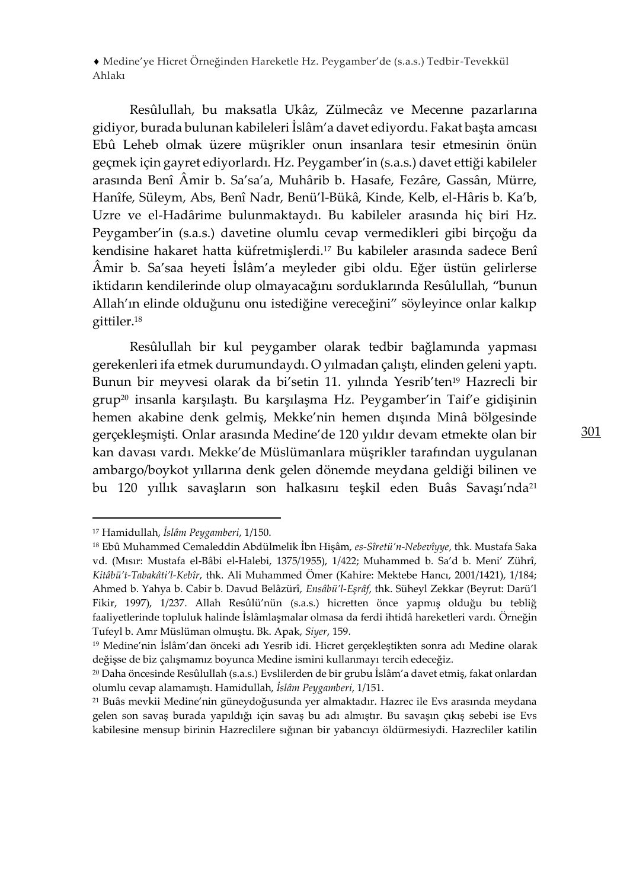Resûlullah, bu maksatla Ukâz, Zülmecâz ve Mecenne pazarlarına gidiyor, burada bulunan kabileleri İslâm'a davet ediyordu. Fakat başta amcası Ebû Leheb olmak üzere müşrikler onun insanlara tesir etmesinin önün geçmek için gayret ediyorlardı. Hz. Peygamber'in (s.a.s.) davet ettiği kabileler arasında Benî Âmir b. Sa'sa'a, Muhârib b. Hasafe, Fezâre, Gassân, Mürre, Hanîfe, Süleym, Abs, Benî Nadr, Benü'l-Bükâ, Kinde, Kelb, el-Hâris b. Ka'b, Uzre ve el-Hadârime bulunmaktaydı. Bu kabileler arasında hiç biri Hz. Peygamber'in (s.a.s.) davetine olumlu cevap vermedikleri gibi birçoğu da kendisine hakaret hatta küfretmişlerdi.<sup>17</sup> Bu kabileler arasında sadece Benî Âmir b. Sa'saa heyeti İslâm'a meyleder gibi oldu. Eğer üstün gelirlerse iktidarın kendilerinde olup olmayacağını sorduklarında Resûlullah, "bunun Allah'ın elinde olduğunu onu istediğine vereceğini" söyleyince onlar kalkıp gittiler.<sup>18</sup>

Resûlullah bir kul peygamber olarak tedbir bağlamında yapması gerekenleri ifa etmek durumundaydı. O yılmadan çalıştı, elinden geleni yaptı. Bunun bir meyvesi olarak da bi'setin 11. yılında Yesrib'ten<sup>19</sup> Hazrecli bir grup<sup>20</sup> insanla karşılaştı. Bu karşılaşma Hz. Peygamber'in Taif'e gidişinin hemen akabine denk gelmiş, Mekke'nin hemen dışında Minâ bölgesinde gerçekleşmişti. Onlar arasında Medine'de 120 yıldır devam etmekte olan bir kan davası vardı. Mekke'de Müslümanlara müşrikler tarafından uygulanan ambargo/boykot yıllarına denk gelen dönemde meydana geldiği bilinen ve bu 120 yıllık savaşların son halkasını teşkil eden Buâs Savaşı'nda<sup>21</sup>

<sup>17</sup> Hamidullah, *İslâm Peygamberi*, 1/150.

<sup>18</sup> Ebû Muhammed Cemaleddin Abdülmelik İbn Hişâm, *es-Sîretü'n-Nebevîyye*, thk. Mustafa Saka vd. (Mısır: Mustafa el-Bâbi el-Halebi, 1375/1955), 1/422; Muhammed b. Sa'd b. Meni' Zührî, *Kitâbü't-Tabakâti'l-Kebîr*, thk. Ali Muhammed Ömer (Kahire: Mektebe Hancı, 2001/1421), 1/184; Ahmed b. Yahya b. Cabir b. Davud Belâzürî, *Ensâbü'l-Eşrâf*, thk. Süheyl Zekkar (Beyrut: Darü'l Fikir, 1997), 1/237. Allah Resûlü'nün (s.a.s.) hicretten önce yapmış olduğu bu tebliğ faaliyetlerinde topluluk halinde İslâmlaşmalar olmasa da ferdi ihtidâ hareketleri vardı. Örneğin Tufeyl b. Amr Müslüman olmuştu. Bk. Apak, *Siyer*, 159.

<sup>19</sup> Medine'nin İslâm'dan önceki adı Yesrib idi. Hicret gerçekleştikten sonra adı Medine olarak değişse de biz çalışmamız boyunca Medine ismini kullanmayı tercih edeceğiz.

<sup>20</sup> Daha öncesinde Resûlullah (s.a.s.) Evslilerden de bir grubu İslâm'a davet etmiş, fakat onlardan olumlu cevap alamamıştı. Hamidullah, *İslâm Peygamberi*, 1/151.

<sup>21</sup> Buâs mevkii Medine'nin güneydoğusunda yer almaktadır. Hazrec ile Evs arasında meydana gelen son savaş burada yapıldığı için savaş bu adı almıştır. Bu savaşın çıkış sebebi ise Evs kabilesine mensup birinin Hazreclilere sığınan bir yabancıyı öldürmesiydi. Hazrecliler katilin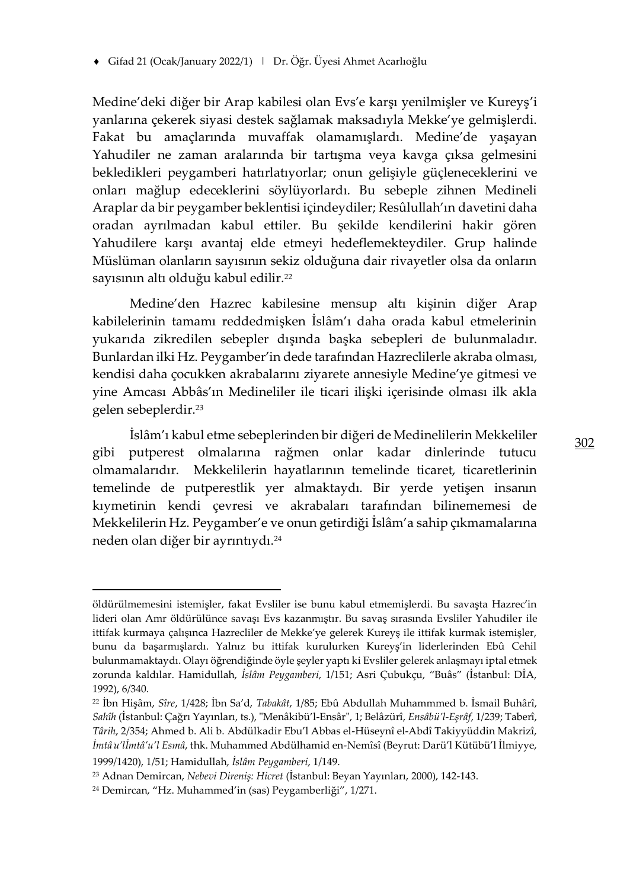Medine'deki diğer bir Arap kabilesi olan Evs'e karşı yenilmişler ve Kureyş'i yanlarına çekerek siyasi destek sağlamak maksadıyla Mekke'ye gelmişlerdi. Fakat bu amaçlarında muvaffak olamamışlardı. Medine'de yaşayan Yahudiler ne zaman aralarında bir tartışma veya kavga çıksa gelmesini bekledikleri peygamberi hatırlatıyorlar; onun gelişiyle güçleneceklerini ve onları mağlup edeceklerini söylüyorlardı. Bu sebeple zihnen Medineli Araplar da bir peygamber beklentisi içindeydiler; Resûlullah'ın davetini daha oradan ayrılmadan kabul ettiler. Bu şekilde kendilerini hakir gören Yahudilere karşı avantaj elde etmeyi hedeflemekteydiler. Grup halinde Müslüman olanların sayısının sekiz olduğuna dair rivayetler olsa da onların sayısının altı olduğu kabul edilir.<sup>22</sup>

Medine'den Hazrec kabilesine mensup altı kişinin diğer Arap kabilelerinin tamamı reddedmişken İslâm'ı daha orada kabul etmelerinin yukarıda zikredilen sebepler dışında başka sebepleri de bulunmaladır. Bunlardan ilki Hz. Peygamber'in dede tarafından Hazreclilerle akraba olması, kendisi daha çocukken akrabalarını ziyarete annesiyle Medine'ye gitmesi ve yine Amcası Abbâs'ın Medineliler ile ticari ilişki içerisinde olması ilk akla gelen sebeplerdir.<sup>23</sup>

İslâm'ı kabul etme sebeplerinden bir diğeri de Medinelilerin Mekkeliler gibi putperest olmalarına rağmen onlar kadar dinlerinde tutucu olmamalarıdır. Mekkelilerin hayatlarının temelinde ticaret, ticaretlerinin temelinde de putperestlik yer almaktaydı. Bir yerde yetişen insanın kıymetinin kendi çevresi ve akrabaları tarafından bilinememesi de Mekkelilerin Hz. Peygamber'e ve onun getirdiği İslâm'a sahip çıkmamalarına neden olan diğer bir ayrıntıydı.<sup>24</sup>

öldürülmemesini istemişler, fakat Evsliler ise bunu kabul etmemişlerdi. Bu savaşta Hazrec'in lideri olan Amr öldürülünce savaşı Evs kazanmıştır. Bu savaş sırasında Evsliler Yahudiler ile ittifak kurmaya çalışınca Hazrecliler de Mekke'ye gelerek Kureyş ile ittifak kurmak istemişler, bunu da başarmışlardı. Yalnız bu ittifak kurulurken Kureyş'in liderlerinden Ebû Cehil bulunmamaktaydı. Olayı öğrendiğinde öyle şeyler yaptı ki Evsliler gelerek anlaşmayı iptal etmek zorunda kaldılar. Hamidullah, *İslâm Peygamberi*, 1/151; Asri Çubukçu, "Buâs" (İstanbul: DİA, 1992), 6/340.

<sup>22</sup> İbn Hişâm, *Sîre*, 1/428; İbn Sa'd, *Tabakât*, 1/85; Ebû Abdullah Muhammmed b. İsmail Buhârî, *Sahîh* (İstanbul: Çağrı Yayınları, ts.), "Menâkibü'l-Ensâr", 1; Belâzürî, *Ensâbü'l-Eşrâf*, 1/239; Taberî, *Târih*, 2/354; Ahmed b. Ali b. Abdülkadir Ebu'l Abbas el-Hüseynî el-Abdî Takiyyüddin Makrizî, *İmtâ*ʿ*u'lİmtâ'u'l Esmâ*, thk. Muhammed Abdülhamid en-Nemîsî (Beyrut: Darü'l Kütübü'l İlmiyye,

<sup>1999/1420), 1/51;</sup> Hamidullah, *İslâm Peygamberi*, 1/149.

<sup>23</sup> Adnan Demircan, *Nebevi Direniş: Hicret* (İstanbul: Beyan Yayınları, 2000), 142-143.

<sup>24</sup> Demircan, "Hz. Muhammed'in (sas) Peygamberliği", 1/271.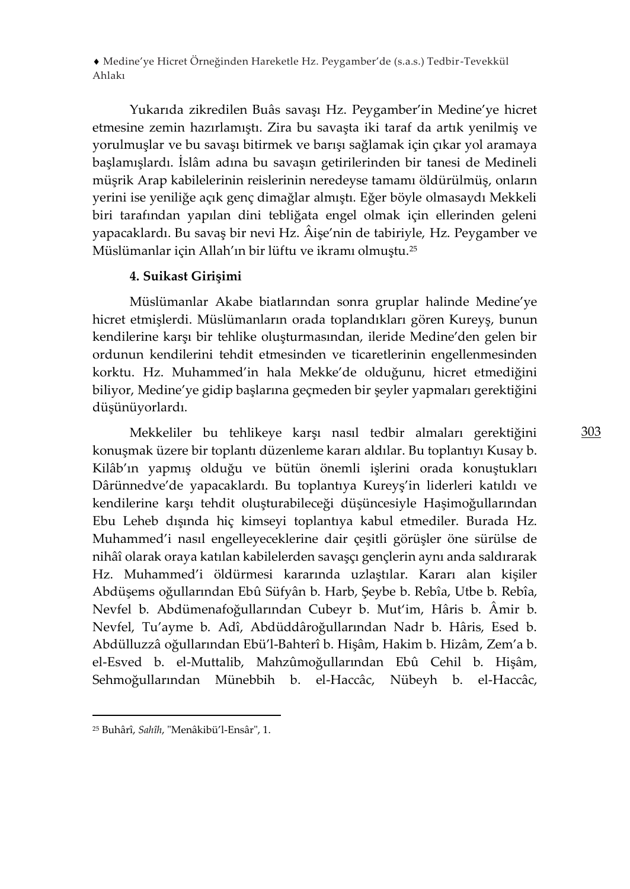Yukarıda zikredilen Buâs savaşı Hz. Peygamber'in Medine'ye hicret etmesine zemin hazırlamıştı. Zira bu savaşta iki taraf da artık yenilmiş ve yorulmuşlar ve bu savaşı bitirmek ve barışı sağlamak için çıkar yol aramaya başlamışlardı. İslâm adına bu savaşın getirilerinden bir tanesi de Medineli müşrik Arap kabilelerinin reislerinin neredeyse tamamı öldürülmüş, onların yerini ise yeniliğe açık genç dimağlar almıştı. Eğer böyle olmasaydı Mekkeli biri tarafından yapılan dini tebliğata engel olmak için ellerinden geleni yapacaklardı. Bu savaş bir nevi Hz. Âişe'nin de tabiriyle, Hz. Peygamber ve Müslümanlar için Allah'ın bir lüftu ve ikramı olmuştu.<sup>25</sup>

# **4. Suikast Girişimi**

Müslümanlar Akabe biatlarından sonra gruplar halinde Medine'ye hicret etmişlerdi. Müslümanların orada toplandıkları gören Kureyş, bunun kendilerine karşı bir tehlike oluşturmasından, ileride Medine'den gelen bir ordunun kendilerini tehdit etmesinden ve ticaretlerinin engellenmesinden korktu. Hz. Muhammed'in hala Mekke'de olduğunu, hicret etmediğini biliyor, Medine'ye gidip başlarına geçmeden bir şeyler yapmaları gerektiğini düşünüyorlardı.

Mekkeliler bu tehlikeye karşı nasıl tedbir almaları gerektiğini konuşmak üzere bir toplantı düzenleme kararı aldılar. Bu toplantıyı Kusay b. Kilâb'ın yapmış olduğu ve bütün önemli işlerini orada konuştukları Dârünnedve'de yapacaklardı. Bu toplantıya Kureyş'in liderleri katıldı ve kendilerine karşı tehdit oluşturabileceği düşüncesiyle Haşimoğullarından Ebu Leheb dışında hiç kimseyi toplantıya kabul etmediler. Burada Hz. Muhammed'i nasıl engelleyeceklerine dair çeşitli görüşler öne sürülse de nihâî olarak oraya katılan kabilelerden savaşçı gençlerin aynı anda saldırarak Hz. Muhammed'i öldürmesi kararında uzlaştılar. Kararı alan kişiler Abdüşems oğullarından Ebû Süfyân b. Harb, Şeybe b. Rebîa, Utbe b. Rebîa, Nevfel b. Abdümenafoğullarından Cubeyr b. Mut'im, Hâris b. Âmir b. Nevfel, Tu'ayme b. Adî, Abdüddâroğullarından Nadr b. Hâris, Esed b. Abdülluzzâ oğullarından Ebü'l-Bahterî b. Hişâm, Hakim b. Hizâm, Zem'a b. el-Esved b. el-Muttalib, Mahzûmoğullarından Ebû Cehil b. Hişâm, Sehmoğullarından Münebbih b. el-Haccâc, Nübeyh b. el-Haccâc,

<sup>25</sup> Buhârî, *Sahîh*, "Menâkibü'l-Ensâr", 1.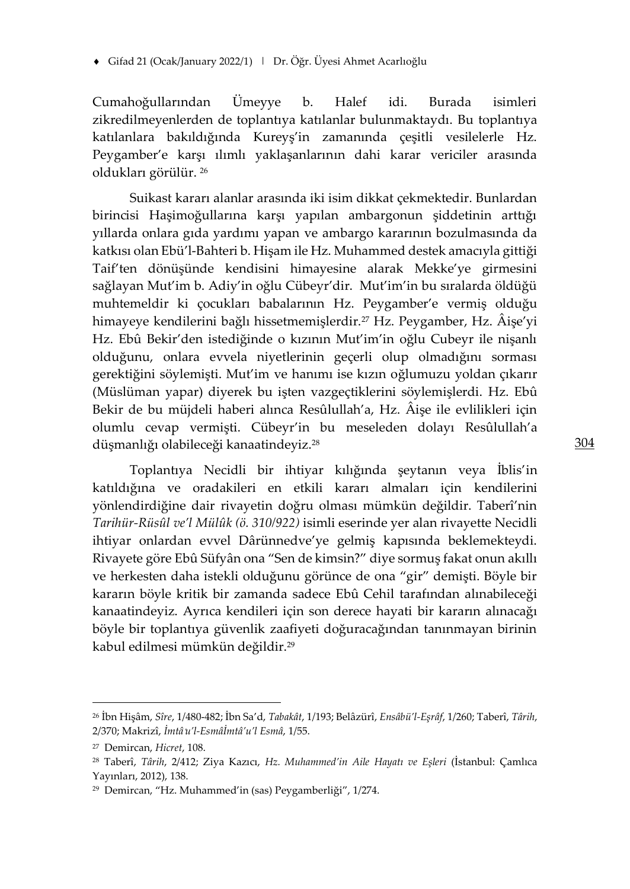Gifad 21 (Ocak/January 2022/1) | Dr. Öğr. Üyesi Ahmet Acarlıoğlu

Cumahoğullarından Ümeyye b. Halef idi. Burada isimleri zikredilmeyenlerden de toplantıya katılanlar bulunmaktaydı. Bu toplantıya katılanlara bakıldığında Kureyş'in zamanında çeşitli vesilelerle Hz. Peygamber'e karşı ılımlı yaklaşanlarının dahi karar vericiler arasında oldukları görülür. <sup>26</sup>

Suikast kararı alanlar arasında iki isim dikkat çekmektedir. Bunlardan birincisi Haşimoğullarına karşı yapılan ambargonun şiddetinin arttığı yıllarda onlara gıda yardımı yapan ve ambargo kararının bozulmasında da katkısı olan Ebü'l-Bahteri b. Hişam ile Hz. Muhammed destek amacıyla gittiği Taif'ten dönüşünde kendisini himayesine alarak Mekke'ye girmesini sağlayan Mut'im b. Adiy'in oğlu Cübeyr'dir. Mut'im'in bu sıralarda öldüğü muhtemeldir ki çocukları babalarının Hz. Peygamber'e vermiş olduğu himayeye kendilerini bağlı hissetmemişlerdir.<sup>27</sup> Hz. Peygamber, Hz. Âişe'yi Hz. Ebû Bekir'den istediğinde o kızının Mut'im'in oğlu Cubeyr ile nişanlı olduğunu, onlara evvela niyetlerinin geçerli olup olmadığını sorması gerektiğini söylemişti. Mut'im ve hanımı ise kızın oğlumuzu yoldan çıkarır (Müslüman yapar) diyerek bu işten vazgeçtiklerini söylemişlerdi. Hz. Ebû Bekir de bu müjdeli haberi alınca Resûlullah'a, Hz. Âişe ile evlilikleri için olumlu cevap vermişti. Cübeyr'in bu meseleden dolayı Resûlullah'a düşmanlığı olabileceği kanaatindeyiz.<sup>28</sup>

Toplantıya Necidli bir ihtiyar kılığında şeytanın veya İblis'in katıldığına ve oradakileri en etkili kararı almaları için kendilerini yönlendirdiğine dair rivayetin doğru olması mümkün değildir. Taberî'nin *Tarihür-Rüsûl ve'l Mülûk (ö. 310/922)* isimli eserinde yer alan rivayette Necidli ihtiyar onlardan evvel Dârünnedve'ye gelmiş kapısında beklemekteydi. Rivayete göre Ebû Süfyân ona "Sen de kimsin?" diye sormuş fakat onun akıllı ve herkesten daha istekli olduğunu görünce de ona "gir" demişti. Böyle bir kararın böyle kritik bir zamanda sadece Ebû Cehil tarafından alınabileceği kanaatindeyiz. Ayrıca kendileri için son derece hayati bir kararın alınacağı böyle bir toplantıya güvenlik zaafiyeti doğuracağından tanınmayan birinin kabul edilmesi mümkün değildir.<sup>29</sup>

<sup>26</sup> İbn Hişâm, *Sîre*, 1/480-482; İbn Sa'd, *Tabakât*, 1/193; Belâzürî, *Ensâbü'l-Eşrâf*, 1/260; Taberî, *Târih*, 2/370; Makrizî, *İmtâ*ʿ*u'l-Esmâİmtâ'u'l Esmâ*, 1/55.

<sup>27</sup> Demircan, *Hicret*, 108.

<sup>28</sup> Taberî, *Târih*, 2/412; Ziya Kazıcı, *Hz. Muhammed'in Aile Hayatı ve Eşleri* (İstanbul: Çamlıca Yayınları, 2012), 138.

<sup>29</sup> Demircan, "Hz. Muhammed'in (sas) Peygamberliği", 1/274.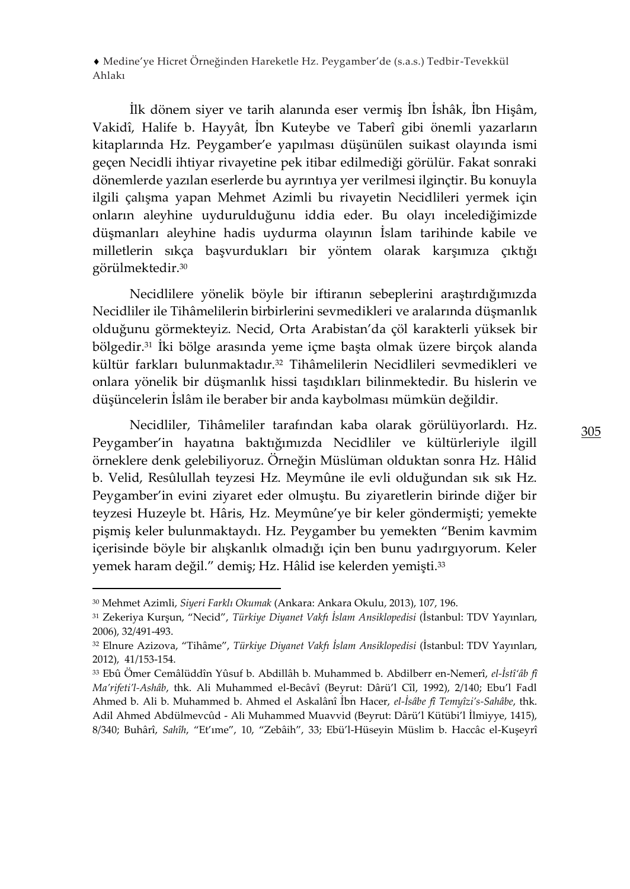İlk dönem siyer ve tarih alanında eser vermiş İbn İshâk, İbn Hişâm, Vakidî, Halife b. Hayyât, İbn Kuteybe ve Taberî gibi önemli yazarların kitaplarında Hz. Peygamber'e yapılması düşünülen suikast olayında ismi geçen Necidli ihtiyar rivayetine pek itibar edilmediği görülür. Fakat sonraki dönemlerde yazılan eserlerde bu ayrıntıya yer verilmesi ilginçtir. Bu konuyla ilgili çalışma yapan Mehmet Azimli bu rivayetin Necidlileri yermek için onların aleyhine uydurulduğunu iddia eder. Bu olayı incelediğimizde düşmanları aleyhine hadis uydurma olayının İslam tarihinde kabile ve milletlerin sıkça başvurdukları bir yöntem olarak karşımıza çıktığı görülmektedir.<sup>30</sup>

Necidlilere yönelik böyle bir iftiranın sebeplerini araştırdığımızda Necidliler ile Tihâmelilerin birbirlerini sevmedikleri ve aralarında düşmanlık olduğunu görmekteyiz. Necid, Orta Arabistan'da çöl karakterli yüksek bir bölgedir.<sup>31</sup> İki bölge arasında yeme içme başta olmak üzere birçok alanda kültür farkları bulunmaktadır.<sup>32</sup> Tihâmelilerin Necidlileri sevmedikleri ve onlara yönelik bir düşmanlık hissi taşıdıkları bilinmektedir. Bu hislerin ve düşüncelerin İslâm ile beraber bir anda kaybolması mümkün değildir.

Necidliler, Tihâmeliler tarafından kaba olarak görülüyorlardı. Hz. Peygamber'in hayatına baktığımızda Necidliler ve kültürleriyle ilgill örneklere denk gelebiliyoruz. Örneğin Müslüman olduktan sonra Hz. Hâlid b. Velid, Resûlullah teyzesi Hz. Meymûne ile evli olduğundan sık sık Hz. Peygamber'in evini ziyaret eder olmuştu. Bu ziyaretlerin birinde diğer bir teyzesi Huzeyle bt. Hâris, Hz. Meymûne'ye bir keler göndermişti; yemekte pişmiş keler bulunmaktaydı. Hz. Peygamber bu yemekten "Benim kavmim içerisinde böyle bir alışkanlık olmadığı için ben bunu yadırgıyorum. Keler yemek haram değil." demiş; Hz. Hâlid ise kelerden yemişti.<sup>33</sup>

<sup>30</sup> Mehmet Azimli, *Siyeri Farklı Okumak* (Ankara: Ankara Okulu, 2013), 107, 196.

<sup>31</sup> Zekeriya Kurşun, "Necid", *Türkiye Diyanet Vakfı İslam Ansiklopedisi* (İstanbul: TDV Yayınları, 2006), 32/491-493.

<sup>32</sup> Elnure Azizova, "Tihâme", *Türkiye Diyanet Vakfı İslam Ansiklopedisi* (İstanbul: TDV Yayınları, 2012), 41/153-154.

<sup>33</sup> Ebû Ömer Cemâlüddîn Yûsuf b. Abdillâh b. Muhammed b. Abdilberr en-Nemerî, *el-İstî'âb fî Ma'rifeti'l-Ashâb*, thk. Ali Muhammed el-Becâvî (Beyrut: Dârü'l Cîl, 1992), 2/140; Ebu'l Fadl Ahmed b. Ali b. Muhammed b. Ahmed el Askalânî İbn Hacer, *el-İsâbe fî Temyîzi's-Sahâbe*, thk. Adil Ahmed Abdülmevcûd - Ali Muhammed Muavvid (Beyrut: Dârü'l Kütübi'l İlmiyye, 1415), 8/340; Buhârî, *Sahîh*, "Et'ıme", 10, "Zebâih", 33; Ebü'l-Hüseyin Müslim b. Haccâc el-Kuşeyrî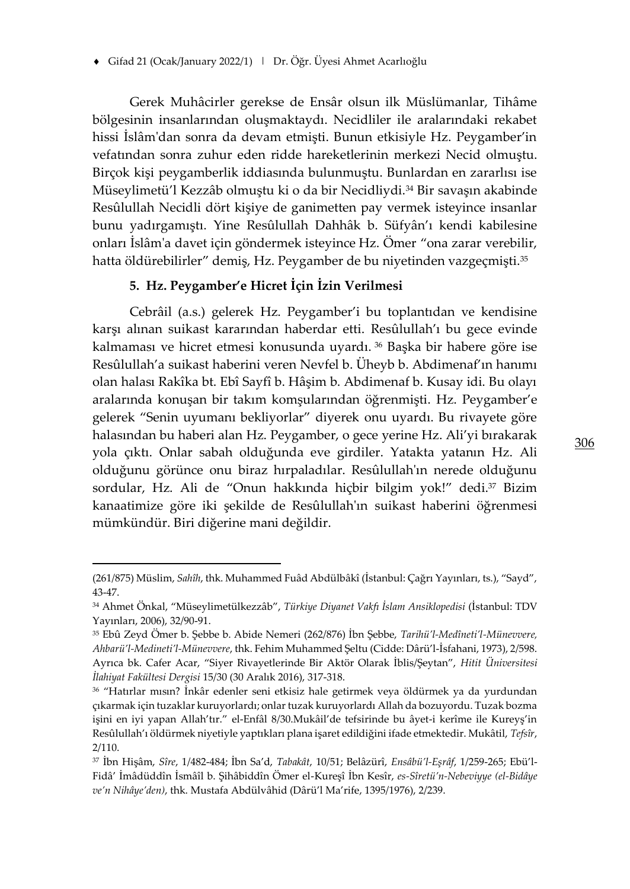Gerek Muhâcirler gerekse de Ensâr olsun ilk Müslümanlar, Tihâme bölgesinin insanlarından oluşmaktaydı. Necidliler ile aralarındaki rekabet hissi İslâm'dan sonra da devam etmişti. Bunun etkisiyle Hz. Peygamber'in vefatından sonra zuhur eden ridde hareketlerinin merkezi Necid olmuştu. Birçok kişi peygamberlik iddiasında bulunmuştu. Bunlardan en zararlısı ise Müseylimetü'l Kezzâb olmuştu ki o da bir Necidliydi.<sup>34</sup> Bir savaşın akabinde Resûlullah Necidli dört kişiye de ganimetten pay vermek isteyince insanlar bunu yadırgamıştı. Yine Resûlullah Dahhâk b. Süfyân'ı kendi kabilesine onları İslâm'a davet için göndermek isteyince Hz. Ömer "ona zarar verebilir, hatta öldürebilirler" demiş, Hz. Peygamber de bu niyetinden vazgeçmişti.<sup>35</sup>

# **5. Hz. Peygamber'e Hicret İçin İzin Verilmesi**

Cebrâil (a.s.) gelerek Hz. Peygamber'i bu toplantıdan ve kendisine karşı alınan suikast kararından haberdar etti. Resûlullah'ı bu gece evinde kalmaması ve hicret etmesi konusunda uyardı. <sup>36</sup> Başka bir habere göre ise Resûlullah'a suikast haberini veren Nevfel b. Üheyb b. Abdimenaf'ın hanımı olan halası Rakîka bt. Ebî Sayfî b. Hâşim b. Abdimenaf b. Kusay idi. Bu olayı aralarında konuşan bir takım komşularından öğrenmişti. Hz. Peygamber'e gelerek "Senin uyumanı bekliyorlar" diyerek onu uyardı. Bu rivayete göre halasından bu haberi alan Hz. Peygamber, o gece yerine Hz. Ali'yi bırakarak yola çıktı. Onlar sabah olduğunda eve girdiler. Yatakta yatanın Hz. Ali olduğunu görünce onu biraz hırpaladılar. Resûlullah'ın nerede olduğunu sordular, Hz. Ali de "Onun hakkında hiçbir bilgim yok!" dedi.<sup>37</sup> Bizim kanaatimize göre iki şekilde de Resûlullah'ın suikast haberini öğrenmesi mümkündür. Biri diğerine mani değildir.

<sup>(261/875)</sup> Müslim, *Sahîh*, thk. Muhammed Fuâd Abdülbâkî (İstanbul: Çağrı Yayınları, ts.), "Sayd", 43-47.

<sup>34</sup> Ahmet Önkal, "Müseylimetülkezzâb", *Türkiye Diyanet Vakfı İslam Ansiklopedisi* (İstanbul: TDV Yayınları, 2006), 32/90-91.

<sup>35</sup> Ebû Zeyd Ömer b. Şebbe b. Abide Nemeri (262/876) İbn Şebbe, *Tarihü'l-Medîneti'l-Münevvere, Ahbarü'l-Medineti'l-Münevvere*, thk. Fehim Muhammed Şeltu (Cidde: Dârü'l-İsfahani, 1973), 2/598. Ayrıca bk. Cafer Acar, "Siyer Rivayetlerinde Bir Aktör Olarak İblis/Şeytan", *Hitit Üniversitesi İlahiyat Fakültesi Dergisi* 15/30 (30 Aralık 2016), 317-318.

<sup>36</sup> "Hatırlar mısın? İnkâr edenler seni etkisiz hale getirmek veya öldürmek ya da yurdundan çıkarmak için tuzaklar kuruyorlardı; onlar tuzak kuruyorlardı Allah da bozuyordu. Tuzak bozma işini en iyi yapan Allah'tır." el-Enfâl 8/30.Mukâil'de tefsirinde bu âyet-i kerîme ile Kureyş'in Resûlullah'ı öldürmek niyetiyle yaptıkları plana işaret edildiğini ifade etmektedir. Mukâtil, *Tefsîr*, 2/110.

<sup>37</sup> İbn Hişâm, *Sîre*, 1/482-484; İbn Sa'd, *Tabakât*, 10/51; Belâzürî, *Ensâbü'l-Eşrâf*, 1/259-265; Ebü'l-Fidâ' İmâdüddîn İsmâîl b. Şihâbiddîn Ömer el-Kureşî İbn Kesîr, *es-Sîretü'n-Nebeviyye (el-Bidâye ve'n Nihâye'den)*, thk. Mustafa Abdülvâhid (Dârü'l Ma'rife, 1395/1976), 2/239.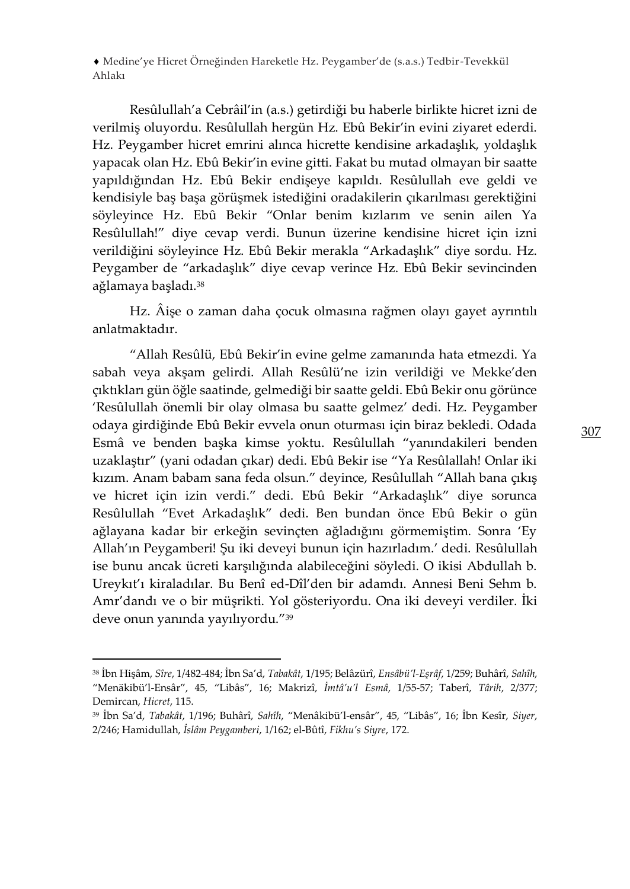Resûlullah'a Cebrâil'in (a.s.) getirdiği bu haberle birlikte hicret izni de verilmiş oluyordu. Resûlullah hergün Hz. Ebû Bekir'in evini ziyaret ederdi. Hz. Peygamber hicret emrini alınca hicrette kendisine arkadaşlık, yoldaşlık yapacak olan Hz. Ebû Bekir'in evine gitti. Fakat bu mutad olmayan bir saatte yapıldığından Hz. Ebû Bekir endişeye kapıldı. Resûlullah eve geldi ve kendisiyle baş başa görüşmek istediğini oradakilerin çıkarılması gerektiğini söyleyince Hz. Ebû Bekir "Onlar benim kızlarım ve senin ailen Ya Resûlullah!" diye cevap verdi. Bunun üzerine kendisine hicret için izni verildiğini söyleyince Hz. Ebû Bekir merakla "Arkadaşlık" diye sordu. Hz. Peygamber de "arkadaşlık" diye cevap verince Hz. Ebû Bekir sevincinden ağlamaya başladı.<sup>38</sup>

Hz. Âişe o zaman daha çocuk olmasına rağmen olayı gayet ayrıntılı anlatmaktadır.

"Allah Resûlü, Ebû Bekir'in evine gelme zamanında hata etmezdi. Ya sabah veya akşam gelirdi. Allah Resûlü'ne izin verildiği ve Mekke'den çıktıkları gün öğle saatinde, gelmediği bir saatte geldi. Ebû Bekir onu görünce 'Resûlullah önemli bir olay olmasa bu saatte gelmez' dedi. Hz. Peygamber odaya girdiğinde Ebû Bekir evvela onun oturması için biraz bekledi. Odada Esmâ ve benden başka kimse yoktu. Resûlullah "yanındakileri benden uzaklaştır" (yani odadan çıkar) dedi. Ebû Bekir ise "Ya Resûlallah! Onlar iki kızım. Anam babam sana feda olsun." deyince, Resûlullah "Allah bana çıkış ve hicret için izin verdi." dedi. Ebû Bekir "Arkadaşlık" diye sorunca Resûlullah "Evet Arkadaşlık" dedi. Ben bundan önce Ebû Bekir o gün ağlayana kadar bir erkeğin sevinçten ağladığını görmemiştim. Sonra 'Ey Allah'ın Peygamberi! Şu iki deveyi bunun için hazırladım.' dedi. Resûlullah ise bunu ancak ücreti karşılığında alabileceğini söyledi. O ikisi Abdullah b. Ureykıt'ı kiraladılar. Bu Benî ed-Dîl'den bir adamdı. Annesi Beni Sehm b. Amr'dandı ve o bir müşrikti. Yol gösteriyordu. Ona iki deveyi verdiler. İki deve onun yanında yayılıyordu."<sup>39</sup>

<sup>38</sup> İbn Hişâm, *Sîre*, 1/482-484; İbn Sa'd, *Tabakât*, 1/195; Belâzürî, *Ensâbü'l-Eşrâf*, 1/259; Buhârî, *Sahîh*, "Menäkibü'l-Ensâr", 45, "Libâs", 16; Makrizî, *İmtâ'u'l Esmâ*, 1/55-57; Taberî, *Târih*, 2/377; Demircan, *Hicret*, 115.

<sup>39</sup> İbn Sa'd, *Tabakât*, 1/196; Buhârî, *Sahîh*, "Menâkibü'l-ensâr", 45, "Libâs", 16; İbn Kesîr, *Siyer*, 2/246; Hamidullah, *İslâm Peygamberi*, 1/162; el-Bûtî, *Fikhu's Siyre*, 172.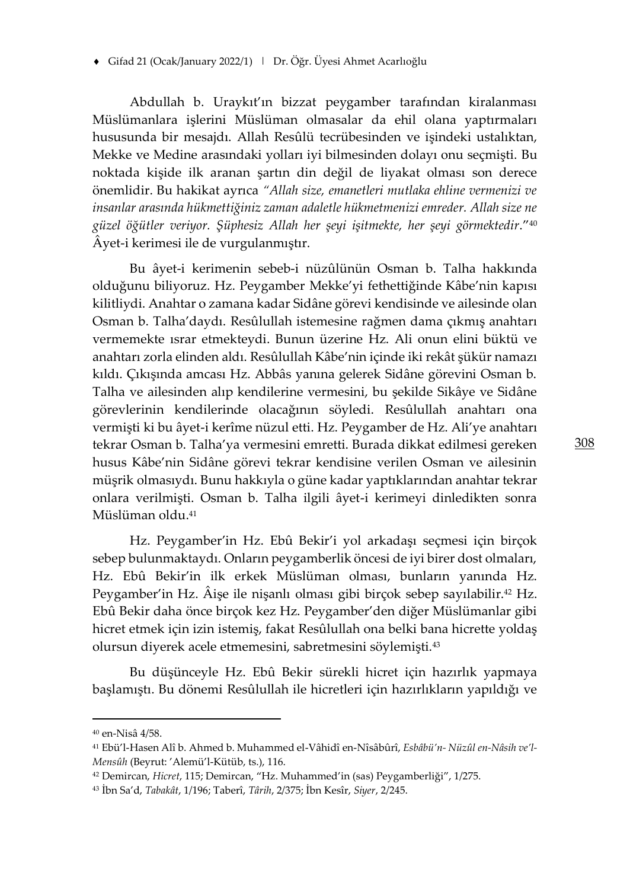Abdullah b. Uraykıt'ın bizzat peygamber tarafından kiralanması Müslümanlara işlerini Müslüman olmasalar da ehil olana yaptırmaları hususunda bir mesajdı. Allah Resûlü tecrübesinden ve işindeki ustalıktan, Mekke ve Medine arasındaki yolları iyi bilmesinden dolayı onu seçmişti. Bu noktada kişide ilk aranan şartın din değil de liyakat olması son derece önemlidir. Bu hakikat ayrıca *"Allah size, emanetleri mutlaka ehline vermenizi ve insanlar arasında hükmettiğiniz zaman adaletle hükmetmenizi emreder. Allah size ne güzel öğütler veriyor. Şüphesiz Allah her şeyi işitmekte, her şeyi görmektedir*."<sup>40</sup> Âyet-i kerimesi ile de vurgulanmıştır.

Bu âyet-i kerimenin sebeb-i nüzûlünün Osman b. Talha hakkında olduğunu biliyoruz. Hz. Peygamber Mekke'yi fethettiğinde Kâbe'nin kapısı kilitliydi. Anahtar o zamana kadar Sidâne görevi kendisinde ve ailesinde olan Osman b. Talha'daydı. Resûlullah istemesine rağmen dama çıkmış anahtarı vermemekte ısrar etmekteydi. Bunun üzerine Hz. Ali onun elini büktü ve anahtarı zorla elinden aldı. Resûlullah Kâbe'nin içinde iki rekât şükür namazı kıldı. Çıkışında amcası Hz. Abbâs yanına gelerek Sidâne görevini Osman b. Talha ve ailesinden alıp kendilerine vermesini, bu şekilde Sikâye ve Sidâne görevlerinin kendilerinde olacağının söyledi. Resûlullah anahtarı ona vermişti ki bu âyet-i kerîme nüzul etti. Hz. Peygamber de Hz. Ali'ye anahtarı tekrar Osman b. Talha'ya vermesini emretti. Burada dikkat edilmesi gereken husus Kâbe'nin Sidâne görevi tekrar kendisine verilen Osman ve ailesinin müşrik olmasıydı. Bunu hakkıyla o güne kadar yaptıklarından anahtar tekrar onlara verilmişti. Osman b. Talha ilgili âyet-i kerimeyi dinledikten sonra Müslüman oldu.<sup>41</sup>

Hz. Peygamber'in Hz. Ebû Bekir'i yol arkadaşı seçmesi için birçok sebep bulunmaktaydı. Onların peygamberlik öncesi de iyi birer dost olmaları, Hz. Ebû Bekir'in ilk erkek Müslüman olması, bunların yanında Hz. Peygamber'in Hz. Âişe ile nişanlı olması gibi birçok sebep sayılabilir.<sup>42</sup> Hz. Ebû Bekir daha önce birçok kez Hz. Peygamber'den diğer Müslümanlar gibi hicret etmek için izin istemiş, fakat Resûlullah ona belki bana hicrette yoldaş olursun diyerek acele etmemesini, sabretmesini söylemişti.<sup>43</sup>

Bu düşünceyle Hz. Ebû Bekir sürekli hicret için hazırlık yapmaya başlamıştı. Bu dönemi Resûlullah ile hicretleri için hazırlıkların yapıldığı ve

<sup>40</sup> en-Nisâ 4/58.

<sup>41</sup> Ebü'l-Hasen Alî b. Ahmed b. Muhammed el-Vâhidî en-Nîsâbûrî, *Esbâbü'n- Nüzûl en-Nâsih ve'l-Mensûh* (Beyrut: 'Alemü'l-Kütüb, ts.), 116.

<sup>42</sup> Demircan, *Hicret*, 115; Demircan, "Hz. Muhammed'in (sas) Peygamberliği", 1/275.

<sup>43</sup> İbn Sa'd, *Tabakât*, 1/196; Taberî, *Târih*, 2/375; İbn Kesîr, *Siyer*, 2/245.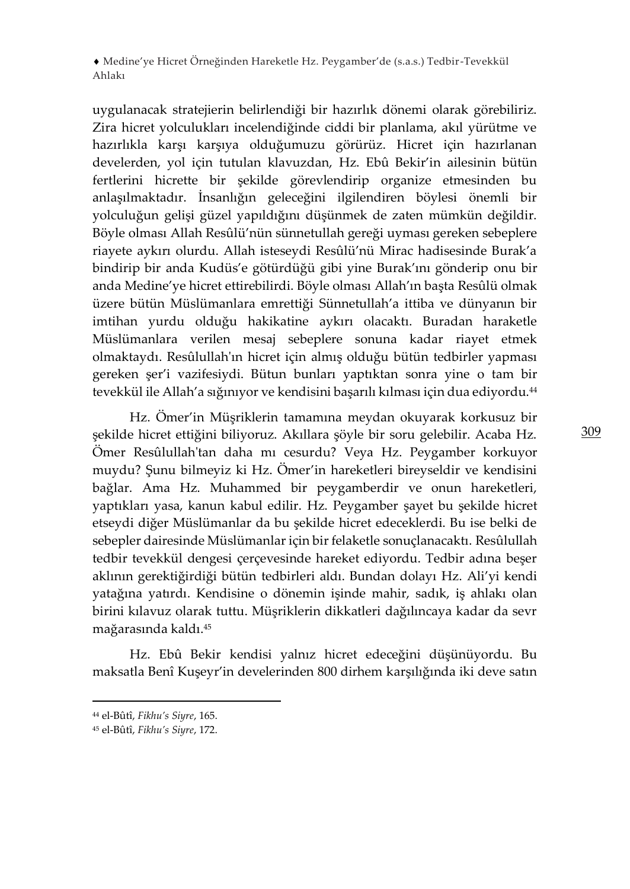uygulanacak stratejierin belirlendiği bir hazırlık dönemi olarak görebiliriz. Zira hicret yolculukları incelendiğinde ciddi bir planlama, akıl yürütme ve hazırlıkla karşı karşıya olduğumuzu görürüz. Hicret için hazırlanan develerden, yol için tutulan klavuzdan, Hz. Ebû Bekir'in ailesinin bütün fertlerini hicrette bir şekilde görevlendirip organize etmesinden bu anlaşılmaktadır. İnsanlığın geleceğini ilgilendiren böylesi önemli bir yolculuğun gelişi güzel yapıldığını düşünmek de zaten mümkün değildir. Böyle olması Allah Resûlü'nün sünnetullah gereği uyması gereken sebeplere riayete aykırı olurdu. Allah isteseydi Resûlü'nü Mirac hadisesinde Burak'a bindirip bir anda Kudüs'e götürdüğü gibi yine Burak'ını gönderip onu bir anda Medine'ye hicret ettirebilirdi. Böyle olması Allah'ın başta Resûlü olmak üzere bütün Müslümanlara emrettiği Sünnetullah'a ittiba ve dünyanın bir imtihan yurdu olduğu hakikatine aykırı olacaktı. Buradan haraketle Müslümanlara verilen mesaj sebeplere sonuna kadar riayet etmek olmaktaydı. Resûlullah'ın hicret için almış olduğu bütün tedbirler yapması gereken şer'i vazifesiydi. Bütun bunları yaptıktan sonra yine o tam bir tevekkül ile Allah'a sığınıyor ve kendisini başarılı kılması için dua ediyordu. 44

Hz. Ömer'in Müşriklerin tamamına meydan okuyarak korkusuz bir şekilde hicret ettiğini biliyoruz. Akıllara şöyle bir soru gelebilir. Acaba Hz. Ömer Resûlullah'tan daha mı cesurdu? Veya Hz. Peygamber korkuyor muydu? Şunu bilmeyiz ki Hz. Ömer'in hareketleri bireyseldir ve kendisini bağlar. Ama Hz. Muhammed bir peygamberdir ve onun hareketleri, yaptıkları yasa, kanun kabul edilir. Hz. Peygamber şayet bu şekilde hicret etseydi diğer Müslümanlar da bu şekilde hicret edeceklerdi. Bu ise belki de sebepler dairesinde Müslümanlar için bir felaketle sonuçlanacaktı. Resûlullah tedbir tevekkül dengesi çerçevesinde hareket ediyordu. Tedbir adına beşer aklının gerektiğirdiği bütün tedbirleri aldı. Bundan dolayı Hz. Ali'yi kendi yatağına yatırdı. Kendisine o dönemin işinde mahir, sadık, iş ahlakı olan birini kılavuz olarak tuttu. Müşriklerin dikkatleri dağılıncaya kadar da sevr mağarasında kaldı.<sup>45</sup>

Hz. Ebû Bekir kendisi yalnız hicret edeceğini düşünüyordu. Bu maksatla Benî Kuşeyr'in develerinden 800 dirhem karşılığında iki deve satın

<sup>44</sup> el-Bûtî, *Fikhu's Siyre*, 165.

<sup>45</sup> el-Bûtî, *Fikhu's Siyre*, 172.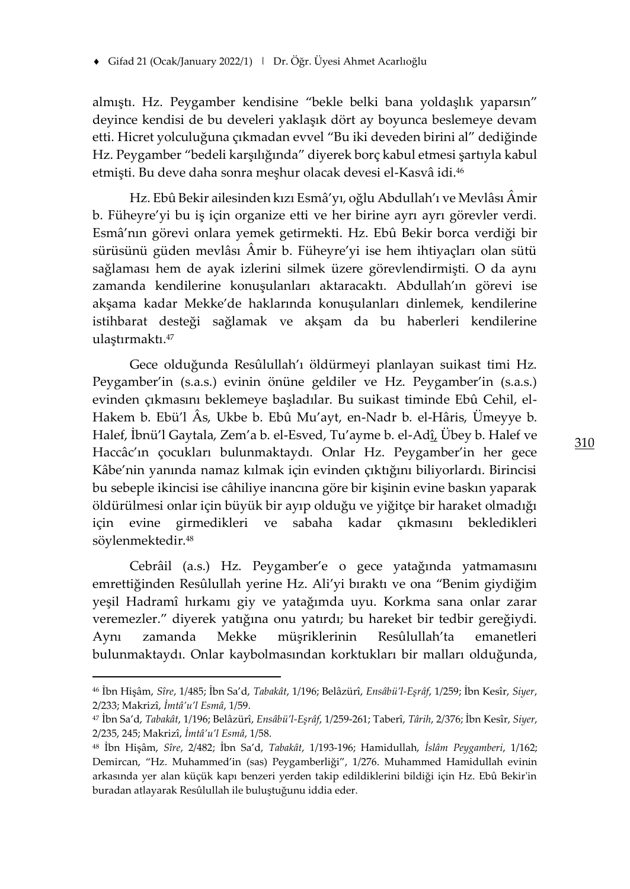almıştı. Hz. Peygamber kendisine "bekle belki bana yoldaşlık yaparsın" deyince kendisi de bu develeri yaklaşık dört ay boyunca beslemeye devam etti. Hicret yolculuğuna çıkmadan evvel "Bu iki deveden birini al" dediğinde Hz. Peygamber "bedeli karşılığında" diyerek borç kabul etmesi şartıyla kabul etmişti. Bu deve daha sonra meşhur olacak devesi el-Kasvâ idi.<sup>46</sup>

Hz. Ebû Bekir ailesinden kızı Esmâ'yı, oğlu Abdullah'ı ve Mevlâsı Âmir b. Füheyre'yi bu iş için organize etti ve her birine ayrı ayrı görevler verdi. Esmâ'nın görevi onlara yemek getirmekti. Hz. Ebû Bekir borca verdiği bir sürüsünü güden mevlâsı Âmir b. Füheyre'yi ise hem ihtiyaçları olan sütü sağlaması hem de ayak izlerini silmek üzere görevlendirmişti. O da aynı zamanda kendilerine konuşulanları aktaracaktı. Abdullah'ın görevi ise akşama kadar Mekke'de haklarında konuşulanları dinlemek, kendilerine istihbarat desteği sağlamak ve akşam da bu haberleri kendilerine ulaştırmaktı.<sup>47</sup>

Gece olduğunda Resûlullah'ı öldürmeyi planlayan suikast timi Hz. Peygamber'in (s.a.s.) evinin önüne geldiler ve Hz. Peygamber'in (s.a.s.) evinden çıkmasını beklemeye başladılar. Bu suikast timinde Ebû Cehil, el-Hakem b. Ebü'l Âs, Ukbe b. Ebû Mu'ayt, en-Nadr b. el-Hâris, Ümeyye b. Halef, İbnü'l Gaytala, Zem'a b. el-Esved, Tu'ayme b. el-Adî, Übey b. Halef ve Haccâc'ın çocukları bulunmaktaydı. Onlar Hz. Peygamber'in her gece Kâbe'nin yanında namaz kılmak için evinden çıktığını biliyorlardı. Birincisi bu sebeple ikincisi ise câhiliye inancına göre bir kişinin evine baskın yaparak öldürülmesi onlar için büyük bir ayıp olduğu ve yiğitçe bir haraket olmadığı için evine girmedikleri ve sabaha kadar çıkmasını bekledikleri söylenmektedir.<sup>48</sup>

Cebrâil (a.s.) Hz. Peygamber'e o gece yatağında yatmamasını emrettiğinden Resûlullah yerine Hz. Ali'yi bıraktı ve ona "Benim giydiğim yeşil Hadramî hırkamı giy ve yatağımda uyu. Korkma sana onlar zarar veremezler." diyerek yatığına onu yatırdı; bu hareket bir tedbir gereğiydi. Aynı zamanda Mekke müşriklerinin Resûlullah'ta emanetleri bulunmaktaydı. Onlar kaybolmasından korktukları bir malları olduğunda,

<sup>46</sup> İbn Hişâm, *Sîre*, 1/485; İbn Sa'd, *Tabakât*, 1/196; Belâzürî, *Ensâbü'l-Eşrâf*, 1/259; İbn Kesîr, *Siyer*, 2/233; Makrizî, *İmtâ'u'l Esmâ*, 1/59.

<sup>47</sup> İbn Sa'd, *Tabakât*, 1/196; Belâzürî, *Ensâbü'l-Eşrâf*, 1/259-261; Taberî, *Târih*, 2/376; İbn Kesîr, *Siyer*, 2/235, 245; Makrizî, *İmtâ'u'l Esmâ*, 1/58.

<sup>48</sup> İbn Hişâm, *Sîre*, 2/482; İbn Sa'd, *Tabakât*, 1/193-196; Hamidullah, *İslâm Peygamberi*, 1/162; Demircan, "Hz. Muhammed'in (sas) Peygamberliği", 1/276. Muhammed Hamidullah evinin arkasında yer alan küçük kapı benzeri yerden takip edildiklerini bildiği için Hz. Ebû Bekir'in buradan atlayarak Resûlullah ile buluştuğunu iddia eder.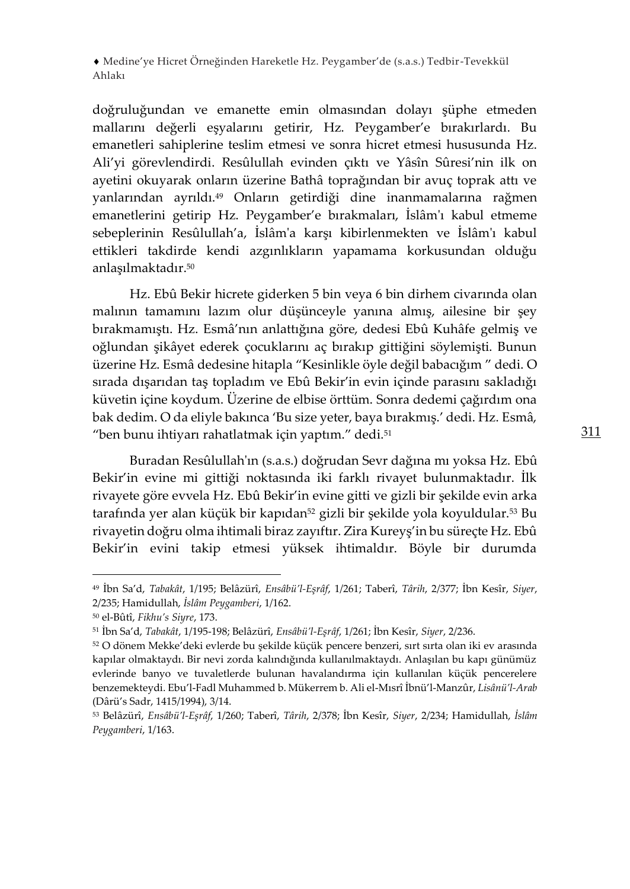doğruluğundan ve emanette emin olmasından dolayı şüphe etmeden mallarını değerli eşyalarını getirir, Hz. Peygamber'e bırakırlardı. Bu emanetleri sahiplerine teslim etmesi ve sonra hicret etmesi hususunda Hz. Ali'yi görevlendirdi. Resûlullah evinden çıktı ve Yâsîn Sûresi'nin ilk on ayetini okuyarak onların üzerine Bathâ toprağından bir avuç toprak attı ve yanlarından ayrıldı.<sup>49</sup> Onların getirdiği dine inanmamalarına rağmen emanetlerini getirip Hz. Peygamber'e bırakmaları, İslâm'ı kabul etmeme sebeplerinin Resûlullah'a, İslâm'a karşı kibirlenmekten ve İslâm'ı kabul ettikleri takdirde kendi azgınlıkların yapamama korkusundan olduğu anlaşılmaktadır.<sup>50</sup>

Hz. Ebû Bekir hicrete giderken 5 bin veya 6 bin dirhem civarında olan malının tamamını lazım olur düşünceyle yanına almış, ailesine bir şey bırakmamıştı. Hz. Esmâ'nın anlattığına göre, dedesi Ebû Kuhâfe gelmiş ve oğlundan şikâyet ederek çocuklarını aç bırakıp gittiğini söylemişti. Bunun üzerine Hz. Esmâ dedesine hitapla "Kesinlikle öyle değil babacığım " dedi. O sırada dışarıdan taş topladım ve Ebû Bekir'in evin içinde parasını sakladığı küvetin içine koydum. Üzerine de elbise örttüm. Sonra dedemi çağırdım ona bak dedim. O da eliyle bakınca 'Bu size yeter, baya bırakmış.' dedi. Hz. Esmâ, "ben bunu ihtiyarı rahatlatmak için yaptım." dedi.<sup>51</sup>

Buradan Resûlullah'ın (s.a.s.) doğrudan Sevr dağına mı yoksa Hz. Ebû Bekir'in evine mi gittiği noktasında iki farklı rivayet bulunmaktadır. İlk rivayete göre evvela Hz. Ebû Bekir'in evine gitti ve gizli bir şekilde evin arka tarafında yer alan küçük bir kapıdan<sup>52</sup> gizli bir şekilde yola koyuldular.<sup>53</sup> Bu rivayetin doğru olma ihtimali biraz zayıftır. Zira Kureyş'in bu süreçte Hz. Ebû Bekir'in evini takip etmesi yüksek ihtimaldır. Böyle bir durumda

<sup>49</sup> İbn Sa'd, *Tabakât*, 1/195; Belâzürî, *Ensâbü'l-Eşrâf*, 1/261; Taberî, *Târih*, 2/377; İbn Kesîr, *Siyer*, 2/235; Hamidullah, *İslâm Peygamberi*, 1/162.

<sup>50</sup> el-Bûtî, *Fikhu's Siyre*, 173.

<sup>51</sup> İbn Sa'd, *Tabakât*, 1/195-198; Belâzürî, *Ensâbü'l-Eşrâf*, 1/261; İbn Kesîr, *Siyer*, 2/236.

<sup>52</sup> O dönem Mekke'deki evlerde bu şekilde küçük pencere benzeri, sırt sırta olan iki ev arasında kapılar olmaktaydı. Bir nevi zorda kalındığında kullanılmaktaydı. Anlaşılan bu kapı günümüz evlerinde banyo ve tuvaletlerde bulunan havalandırma için kullanılan küçük pencerelere benzemekteydi. Ebu'l-Fadl Muhammed b. Mükerrem b. Ali el-Mısrî İbnü'l-Manzûr, *Lisânü'l-Arab* (Dârü's Sadr, 1415/1994), 3/14.

<sup>53</sup> Belâzürî, *Ensâbü'l-Eşrâf*, 1/260; Taberî, *Târih*, 2/378; İbn Kesîr, *Siyer*, 2/234; Hamidullah, *İslâm Peygamberi*, 1/163.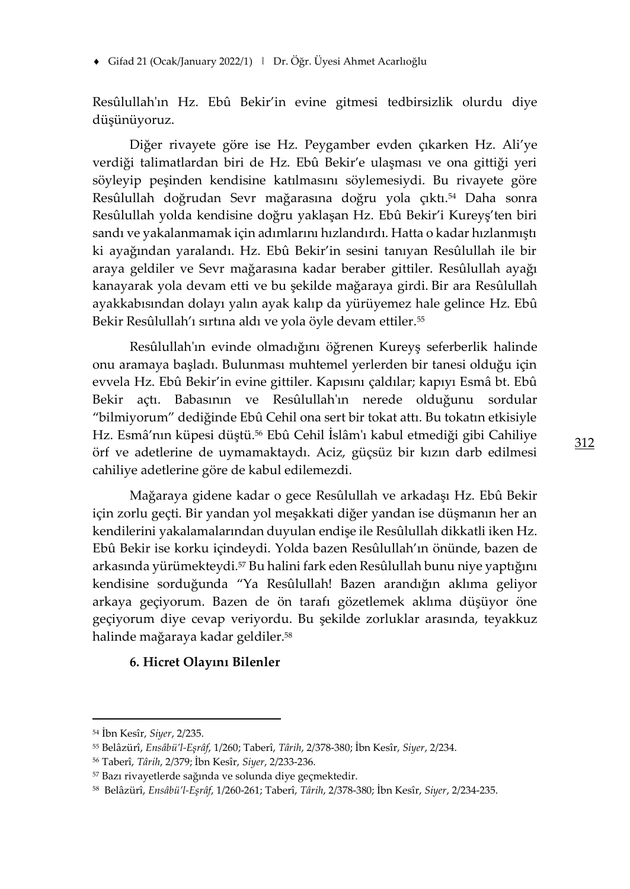Gifad 21 (Ocak/January 2022/1) | Dr. Öğr. Üyesi Ahmet Acarlıoğlu

Resûlullah'ın Hz. Ebû Bekir'in evine gitmesi tedbirsizlik olurdu diye düşünüyoruz.

Diğer rivayete göre ise Hz. Peygamber evden çıkarken Hz. Ali'ye verdiği talimatlardan biri de Hz. Ebû Bekir'e ulaşması ve ona gittiği yeri söyleyip peşinden kendisine katılmasını söylemesiydi. Bu rivayete göre Resûlullah doğrudan Sevr mağarasına doğru yola çıktı.<sup>54</sup> Daha sonra Resûlullah yolda kendisine doğru yaklaşan Hz. Ebû Bekir'i Kureyş'ten biri sandı ve yakalanmamak için adımlarını hızlandırdı. Hatta o kadar hızlanmıştı ki ayağından yaralandı. Hz. Ebû Bekir'in sesini tanıyan Resûlullah ile bir araya geldiler ve Sevr mağarasına kadar beraber gittiler. Resûlullah ayağı kanayarak yola devam etti ve bu şekilde mağaraya girdi. Bir ara Resûlullah ayakkabısından dolayı yalın ayak kalıp da yürüyemez hale gelince Hz. Ebû Bekir Resûlullah'ı sırtına aldı ve yola öyle devam ettiler.<sup>55</sup>

Resûlullah'ın evinde olmadığını öğrenen Kureyş seferberlik halinde onu aramaya başladı. Bulunması muhtemel yerlerden bir tanesi olduğu için evvela Hz. Ebû Bekir'in evine gittiler. Kapısını çaldılar; kapıyı Esmâ bt. Ebû Bekir açtı. Babasının ve Resûlullah'ın nerede olduğunu sordular "bilmiyorum" dediğinde Ebû Cehil ona sert bir tokat attı. Bu tokatın etkisiyle Hz. Esmâ'nın küpesi düştü.<sup>56</sup> Ebû Cehil İslâm'ı kabul etmediği gibi Cahiliye örf ve adetlerine de uymamaktaydı. Aciz, güçsüz bir kızın darb edilmesi cahiliye adetlerine göre de kabul edilemezdi.

Mağaraya gidene kadar o gece Resûlullah ve arkadaşı Hz. Ebû Bekir için zorlu geçti. Bir yandan yol meşakkati diğer yandan ise düşmanın her an kendilerini yakalamalarından duyulan endişe ile Resûlullah dikkatli iken Hz. Ebû Bekir ise korku içindeydi. Yolda bazen Resûlullah'ın önünde, bazen de arkasında yürümekteydi.<sup>57</sup> Bu halini fark eden Resûlullah bunu niye yaptığını kendisine sorduğunda "Ya Resûlullah! Bazen arandığın aklıma geliyor arkaya geçiyorum. Bazen de ön tarafı gözetlemek aklıma düşüyor öne geçiyorum diye cevap veriyordu. Bu şekilde zorluklar arasında, teyakkuz halinde mağaraya kadar geldiler.<sup>58</sup>

#### **6. Hicret Olayını Bilenler**

<sup>54</sup> İbn Kesîr, *Siyer*, 2/235.

<sup>55</sup> Belâzürî, *Ensâbü'l-Eşrâf*, 1/260; Taberî, *Târih*, 2/378-380; İbn Kesîr, *Siyer*, 2/234.

<sup>56</sup> Taberî, *Târih*, 2/379; İbn Kesîr, *Siyer*, 2/233-236.

<sup>57</sup> Bazı rivayetlerde sağında ve solunda diye geçmektedir.

<sup>58</sup> Belâzürî, *Ensâbü'l-Eşrâf*, 1/260-261; Taberî, *Târih*, 2/378-380; İbn Kesîr, *Siyer*, 2/234-235.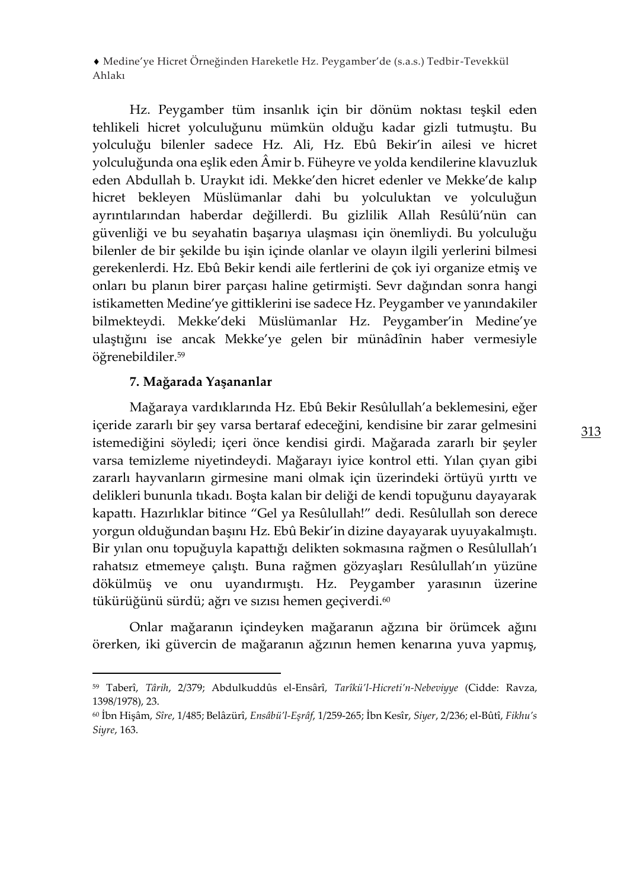Hz. Peygamber tüm insanlık için bir dönüm noktası teşkil eden tehlikeli hicret yolculuğunu mümkün olduğu kadar gizli tutmuştu. Bu yolculuğu bilenler sadece Hz. Ali, Hz. Ebû Bekir'in ailesi ve hicret yolculuğunda ona eşlik eden Âmir b. Füheyre ve yolda kendilerine klavuzluk eden Abdullah b. Uraykıt idi. Mekke'den hicret edenler ve Mekke'de kalıp hicret bekleyen Müslümanlar dahi bu yolculuktan ve yolculuğun ayrıntılarından haberdar değillerdi. Bu gizlilik Allah Resûlü'nün can güvenliği ve bu seyahatin başarıya ulaşması için önemliydi. Bu yolculuğu bilenler de bir şekilde bu işin içinde olanlar ve olayın ilgili yerlerini bilmesi gerekenlerdi. Hz. Ebû Bekir kendi aile fertlerini de çok iyi organize etmiş ve onları bu planın birer parçası haline getirmişti. Sevr dağından sonra hangi istikametten Medine'ye gittiklerini ise sadece Hz. Peygamber ve yanındakiler bilmekteydi. Mekke'deki Müslümanlar Hz. Peygamber'in Medine'ye ulaştığını ise ancak Mekke'ye gelen bir münâdînin haber vermesiyle öğrenebildiler.<sup>59</sup>

#### **7. Mağarada Yaşananlar**

Mağaraya vardıklarında Hz. Ebû Bekir Resûlullah'a beklemesini, eğer içeride zararlı bir şey varsa bertaraf edeceğini, kendisine bir zarar gelmesini istemediğini söyledi; içeri önce kendisi girdi. Mağarada zararlı bir şeyler varsa temizleme niyetindeydi. Mağarayı iyice kontrol etti. Yılan çıyan gibi zararlı hayvanların girmesine mani olmak için üzerindeki örtüyü yırttı ve delikleri bununla tıkadı. Boşta kalan bir deliği de kendi topuğunu dayayarak kapattı. Hazırlıklar bitince "Gel ya Resûlullah!" dedi. Resûlullah son derece yorgun olduğundan başını Hz. Ebû Bekir'in dizine dayayarak uyuyakalmıştı. Bir yılan onu topuğuyla kapattığı delikten sokmasına rağmen o Resûlullah'ı rahatsız etmemeye çalıştı. Buna rağmen gözyaşları Resûlullah'ın yüzüne dökülmüş ve onu uyandırmıştı. Hz. Peygamber yarasının üzerine tükürüğünü sürdü; ağrı ve sızısı hemen geçiverdi.<sup>60</sup>

Onlar mağaranın içindeyken mağaranın ağzına bir örümcek ağını örerken, iki güvercin de mağaranın ağzının hemen kenarına yuva yapmış,

<sup>59</sup> Taberî, *Târih*, 2/379; Abdulkuddûs el-Ensârî, *Tarîkü'l-Hicreti'n-Nebeviyye* (Cidde: Ravza, 1398/1978), 23.

<sup>60</sup> İbn Hişâm, *Sîre*, 1/485; Belâzürî, *Ensâbü'l-Eşrâf*, 1/259-265; İbn Kesîr, *Siyer*, 2/236; el-Bûtî, *Fikhu's Siyre*, 163.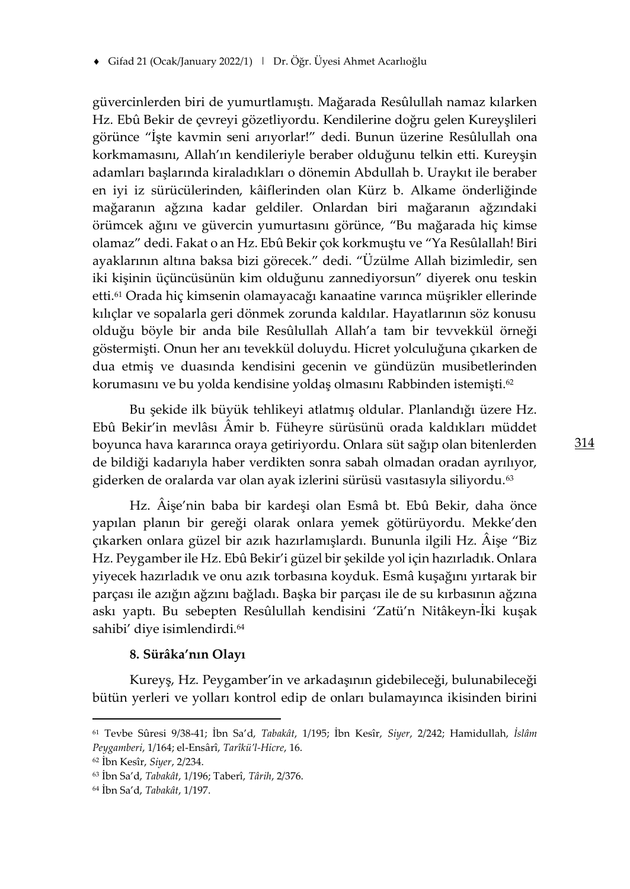güvercinlerden biri de yumurtlamıştı. Mağarada Resûlullah namaz kılarken Hz. Ebû Bekir de çevreyi gözetliyordu. Kendilerine doğru gelen Kureyşlileri görünce "İşte kavmin seni arıyorlar!" dedi. Bunun üzerine Resûlullah ona korkmamasını, Allah'ın kendileriyle beraber olduğunu telkin etti. Kureyşin adamları başlarında kiraladıkları o dönemin Abdullah b. Uraykıt ile beraber en iyi iz sürücülerinden, kâiflerinden olan Kürz b. Alkame önderliğinde mağaranın ağzına kadar geldiler. Onlardan biri mağaranın ağzındaki örümcek ağını ve güvercin yumurtasını görünce, "Bu mağarada hiç kimse olamaz" dedi. Fakat o an Hz. Ebû Bekir çok korkmuştu ve "Ya Resûlallah! Biri ayaklarının altına baksa bizi görecek." dedi. "Üzülme Allah bizimledir, sen iki kişinin üçüncüsünün kim olduğunu zannediyorsun" diyerek onu teskin etti.<sup>61</sup> Orada hiç kimsenin olamayacağı kanaatine varınca müşrikler ellerinde kılıçlar ve sopalarla geri dönmek zorunda kaldılar. Hayatlarının söz konusu olduğu böyle bir anda bile Resûlullah Allah'a tam bir tevvekkül örneği göstermişti. Onun her anı tevekkül doluydu. Hicret yolculuğuna çıkarken de dua etmiş ve duasında kendisini gecenin ve gündüzün musibetlerinden korumasını ve bu yolda kendisine yoldaş olmasını Rabbinden istemişti.<sup>62</sup>

Bu şekide ilk büyük tehlikeyi atlatmış oldular. Planlandığı üzere Hz. Ebû Bekir'in mevlâsı Âmir b. Füheyre sürüsünü orada kaldıkları müddet boyunca hava kararınca oraya getiriyordu. Onlara süt sağıp olan bitenlerden de bildiği kadarıyla haber verdikten sonra sabah olmadan oradan ayrılıyor, giderken de oralarda var olan ayak izlerini sürüsü vasıtasıyla siliyordu.<sup>63</sup>

Hz. Âişe'nin baba bir kardeşi olan Esmâ bt. Ebû Bekir, daha önce yapılan planın bir gereği olarak onlara yemek götürüyordu. Mekke'den çıkarken onlara güzel bir azık hazırlamışlardı. Bununla ilgili Hz. Âişe "Biz Hz. Peygamber ile Hz. Ebû Bekir'i güzel bir şekilde yol için hazırladık. Onlara yiyecek hazırladık ve onu azık torbasına koyduk. Esmâ kuşağını yırtarak bir parçası ile azığın ağzını bağladı. Başka bir parçası ile de su kırbasının ağzına askı yaptı. Bu sebepten Resûlullah kendisini 'Zatü'n Nitâkeyn-İki kuşak sahibi' diye isimlendirdi.<sup>64</sup>

# **8. Sürâka'nın Olayı**

Kureyş, Hz. Peygamber'in ve arkadaşının gidebileceği, bulunabileceği bütün yerleri ve yolları kontrol edip de onları bulamayınca ikisinden birini

<sup>61</sup> Tevbe Sûresi 9/38-41; İbn Sa'd, *Tabakât*, 1/195; İbn Kesîr, *Siyer*, 2/242; Hamidullah, *İslâm Peygamberi*, 1/164; el-Ensârî, *Tarîkü'l-Hicre*, 16.

<sup>62</sup> İbn Kesîr, *Siyer*, 2/234.

<sup>63</sup> İbn Sa'd, *Tabakât*, 1/196; Taberî, *Târih*, 2/376.

<sup>64</sup> İbn Sa'd, *Tabakât*, 1/197.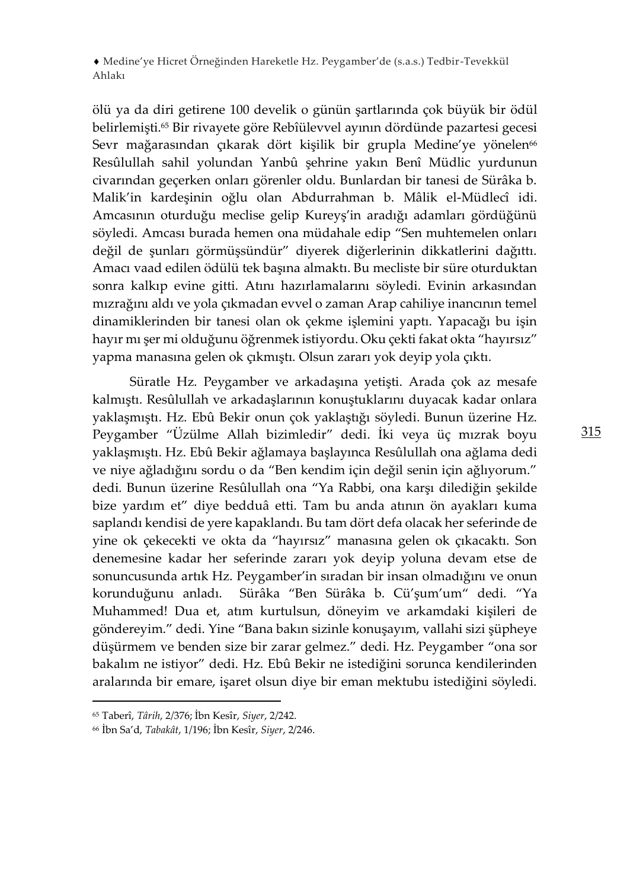ölü ya da diri getirene 100 develik o günün şartlarında çok büyük bir ödül belirlemişti.<sup>65</sup> Bir rivayete göre Rebîülevvel ayının dördünde pazartesi gecesi Sevr mağarasından çıkarak dört kişilik bir grupla Medine'ye yönelen<sup>66</sup> Resûlullah sahil yolundan Yanbû şehrine yakın Benî Müdlic yurdunun civarından geçerken onları görenler oldu. Bunlardan bir tanesi de Sürâka b. Malik'in kardeşinin oğlu olan Abdurrahman b. Mâlik el-Müdlecî idi. Amcasının oturduğu meclise gelip Kureyş'in aradığı adamları gördüğünü söyledi. Amcası burada hemen ona müdahale edip "Sen muhtemelen onları değil de şunları görmüşsündür" diyerek diğerlerinin dikkatlerini dağıttı. Amacı vaad edilen ödülü tek başına almaktı. Bu mecliste bir süre oturduktan sonra kalkıp evine gitti. Atını hazırlamalarını söyledi. Evinin arkasından mızrağını aldı ve yola çıkmadan evvel o zaman Arap cahiliye inancının temel dinamiklerinden bir tanesi olan ok çekme işlemini yaptı. Yapacağı bu işin hayır mı şer mi olduğunu öğrenmek istiyordu. Oku çekti fakat okta "hayırsız" yapma manasına gelen ok çıkmıştı. Olsun zararı yok deyip yola çıktı.

Süratle Hz. Peygamber ve arkadaşına yetişti. Arada çok az mesafe kalmıştı. Resûlullah ve arkadaşlarının konuştuklarını duyacak kadar onlara yaklaşmıştı. Hz. Ebû Bekir onun çok yaklaştığı söyledi. Bunun üzerine Hz. Peygamber "Üzülme Allah bizimledir" dedi. İki veya üç mızrak boyu yaklaşmıştı. Hz. Ebû Bekir ağlamaya başlayınca Resûlullah ona ağlama dedi ve niye ağladığını sordu o da "Ben kendim için değil senin için ağlıyorum." dedi. Bunun üzerine Resûlullah ona "Ya Rabbi, ona karşı dilediğin şekilde bize yardım et" diye bedduâ etti. Tam bu anda atının ön ayakları kuma saplandı kendisi de yere kapaklandı. Bu tam dört defa olacak her seferinde de yine ok çekecekti ve okta da "hayırsız" manasına gelen ok çıkacaktı. Son denemesine kadar her seferinde zararı yok deyip yoluna devam etse de sonuncusunda artık Hz. Peygamber'in sıradan bir insan olmadığını ve onun korunduğunu anladı. Sürâka "Ben Sürâka b. Cü'şum'um" dedi. "Ya Muhammed! Dua et, atım kurtulsun, döneyim ve arkamdaki kişileri de göndereyim." dedi. Yine "Bana bakın sizinle konuşayım, vallahi sizi şüpheye düşürmem ve benden size bir zarar gelmez." dedi. Hz. Peygamber "ona sor bakalım ne istiyor" dedi. Hz. Ebû Bekir ne istediğini sorunca kendilerinden aralarında bir emare, işaret olsun diye bir eman mektubu istediğini söyledi.

<sup>65</sup> Taberî, *Târih*, 2/376; İbn Kesîr, *Siyer*, 2/242.

<sup>66</sup> İbn Sa'd, *Tabakât*, 1/196; İbn Kesîr, *Siyer*, 2/246.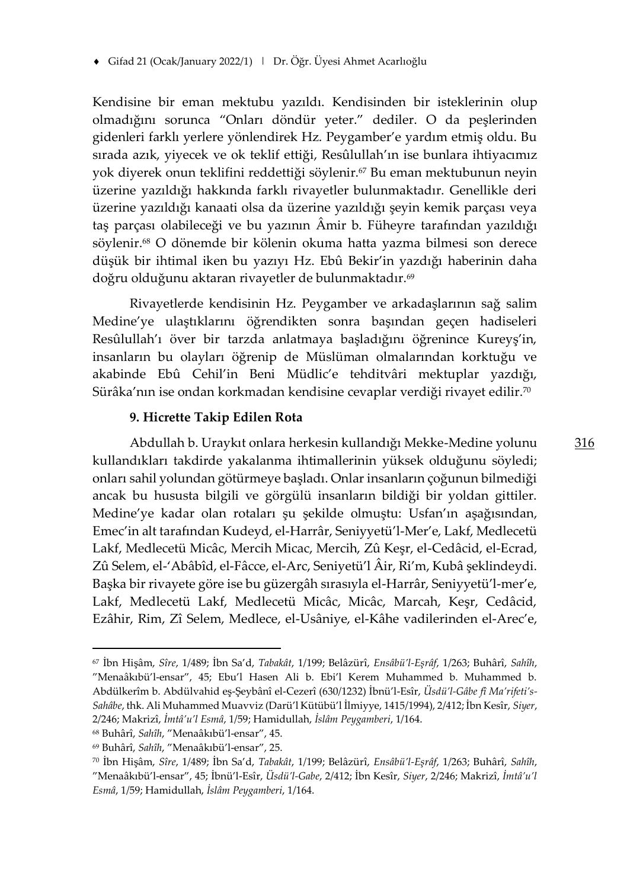Kendisine bir eman mektubu yazıldı. Kendisinden bir isteklerinin olup olmadığını sorunca "Onları döndür yeter." dediler. O da peşlerinden gidenleri farklı yerlere yönlendirek Hz. Peygamber'e yardım etmiş oldu. Bu sırada azık, yiyecek ve ok teklif ettiği, Resûlullah'ın ise bunlara ihtiyacımız yok diyerek onun teklifini reddettiği söylenir.<sup>67</sup> Bu eman mektubunun neyin üzerine yazıldığı hakkında farklı rivayetler bulunmaktadır. Genellikle deri üzerine yazıldığı kanaati olsa da üzerine yazıldığı şeyin kemik parçası veya taş parçası olabileceği ve bu yazının Âmir b. Füheyre tarafından yazıldığı söylenir.<sup>68</sup> O dönemde bir kölenin okuma hatta yazma bilmesi son derece düşük bir ihtimal iken bu yazıyı Hz. Ebû Bekir'in yazdığı haberinin daha doğru olduğunu aktaran rivayetler de bulunmaktadır.<sup>69</sup>

Rivayetlerde kendisinin Hz. Peygamber ve arkadaşlarının sağ salim Medine'ye ulaştıklarını öğrendikten sonra başından geçen hadiseleri Resûlullah'ı över bir tarzda anlatmaya başladığını öğrenince Kureyş'in, insanların bu olayları öğrenip de Müslüman olmalarından korktuğu ve akabinde Ebû Cehil'in Beni Müdlic'e tehditvâri mektuplar yazdığı, Sürâka'nın ise ondan korkmadan kendisine cevaplar verdiği rivayet edilir.<sup>70</sup>

# **9. Hicrette Takip Edilen Rota**

Abdullah b. Uraykıt onlara herkesin kullandığı Mekke-Medine yolunu kullandıkları takdirde yakalanma ihtimallerinin yüksek olduğunu söyledi; onları sahil yolundan götürmeye başladı. Onlar insanların çoğunun bilmediği ancak bu hususta bilgili ve görgülü insanların bildiği bir yoldan gittiler. Medine'ye kadar olan rotaları şu şekilde olmuştu: Usfan'ın aşağısından, Emec'in alt tarafından Kudeyd, el-Harrâr, Seniyyetü'l-Mer'e, Lakf, Medlecetü Lakf, Medlecetü Micâc, Mercih Micac, Mercih, Zû Keşr, el-Cedâcid, el-Ecrad, Zû Selem, el-'Abâbîd, el-Fâcce, el-Arc, Seniyetü'l Âir, Ri'm, Kubâ şeklindeydi. Başka bir rivayete göre ise bu güzergâh sırasıyla el-Harrâr, Seniyyetü'l-mer'e, Lakf, Medlecetü Lakf, Medlecetü Micâc, Micâc, Marcah, Keşr, Cedâcid, Ezâhir, Rim, Zî Selem, Medlece, el-Usâniye, el-Kâhe vadilerinden el-Arec'e,

<sup>67</sup> İbn Hişâm, *Sîre*, 1/489; İbn Sa'd, *Tabakât*, 1/199; Belâzürî, *Ensâbü'l-Eşrâf*, 1/263; Buhârî, *Sahîh*, "Menaâkıbü'l-ensar", 45; Ebu'l Hasen Ali b. Ebi'l Kerem Muhammed b. Muhammed b. Abdülkerîm b. Abdülvahid eş-Şeybânî el-Cezerî (630/1232) İbnü'l-Esîr, *Üsdü'l-Gâbe fî Ma'rifeti's-Sahâbe*, thk. Ali Muhammed Muavviz (Darü'l Kütübü'l İlmiyye, 1415/1994), 2/412; İbn Kesîr, *Siyer*, 2/246; Makrizî, *İmtâ'u'l Esmâ*, 1/59; Hamidullah, *İslâm Peygamberi*, 1/164.

<sup>68</sup> Buhârî, *Sahîh*, "Menaâkıbü'l-ensar", 45.

<sup>69</sup> Buhârî, *Sahîh*, "Menaâkıbü'l-ensar", 25.

<sup>70</sup> İbn Hişâm, *Sîre*, 1/489; İbn Sa'd, *Tabakât*, 1/199; Belâzürî, *Ensâbü'l-Eşrâf*, 1/263; Buhârî, *Sahîh*, "Menaâkıbü'l-ensar", 45; İbnü'l-Esîr, *Üsdü'l-Gabe*, 2/412; İbn Kesîr, *Siyer*, 2/246; Makrizî, *İmtâ'u'l Esmâ*, 1/59; Hamidullah, *İslâm Peygamberi*, 1/164.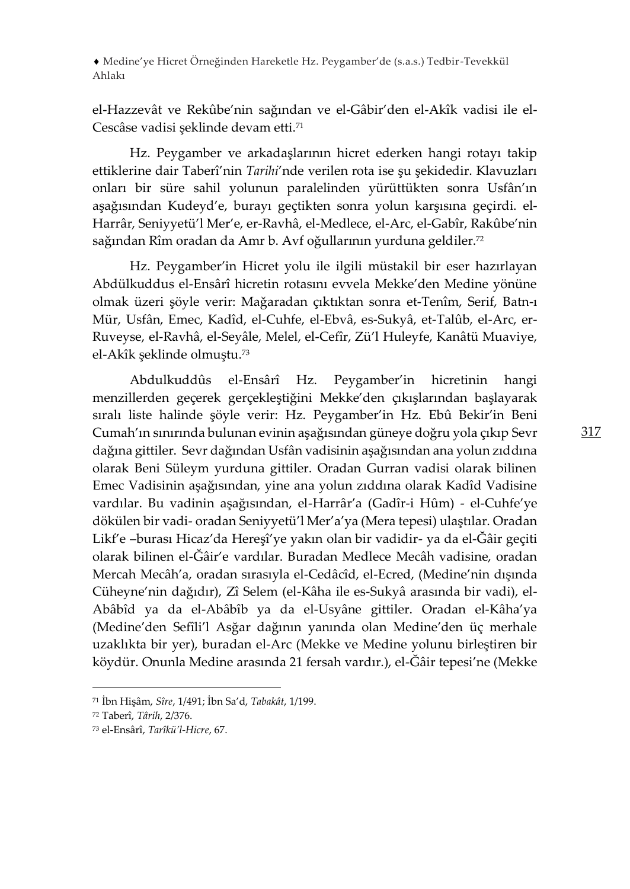el-Hazzevât ve Rekûbe'nin sağından ve el-Gâbir'den el-Akîk vadisi ile el-Cescâse vadisi şeklinde devam etti.<sup>71</sup>

Hz. Peygamber ve arkadaşlarının hicret ederken hangi rotayı takip ettiklerine dair Taberî'nin *Tarihi*'nde verilen rota ise şu şekidedir. Klavuzları onları bir süre sahil yolunun paralelinden yürüttükten sonra Usfân'ın aşağısından Kudeyd'e, burayı geçtikten sonra yolun karşısına geçirdi. el-Harrâr, Seniyyetü'l Mer'e, er-Ravhâ, el-Medlece, el-Arc, el-Gabîr, Rakûbe'nin sağından Rîm oradan da Amr b. Avf oğullarının yurduna geldiler.<sup>72</sup>

Hz. Peygamber'in Hicret yolu ile ilgili müstakil bir eser hazırlayan Abdülkuddus el-Ensârî hicretin rotasını evvela Mekke'den Medine yönüne olmak üzeri şöyle verir: Mağaradan çıktıktan sonra et-Tenîm, Serif, Batn-ı Mür, Usfân, Emec, Kadîd, el-Cuhfe, el-Ebvâ, es-Sukyâ, et-Talûb, el-Arc, er-Ruveyse, el-Ravhâ, el-Seyâle, Melel, el-Cefîr, Zü'l Huleyfe, Kanâtü Muaviye, el-Akîk şeklinde olmuştu.<sup>73</sup>

Abdulkuddûs el-Ensârî Hz. Peygamber'in hicretinin hangi menzillerden geçerek gerçekleştiğini Mekke'den çıkışlarından başlayarak sıralı liste halinde şöyle verir: Hz. Peygamber'in Hz. Ebû Bekir'in Beni Cumah'ın sınırında bulunan evinin aşağısından güneye doğru yola çıkıp Sevr dağına gittiler. Sevr dağından Usfân vadisinin aşağısından ana yolun zıddına olarak Beni Süleym yurduna gittiler. Oradan Gurran vadisi olarak bilinen Emec Vadisinin aşağısından, yine ana yolun zıddına olarak Kadîd Vadisine vardılar. Bu vadinin aşağısından, el-Harrâr'a (Gadîr-i Hûm) - el-Cuhfe'ye dökülen bir vadi- oradan Seniyyetü'l Mer'a'ya (Mera tepesi) ulaştılar. Oradan Likf'e –burası Hicaz'da Hereşî'ye yakın olan bir vadidir- ya da el-Ğâir geçiti olarak bilinen el-Ğâir'e vardılar. Buradan Medlece Mecâh vadisine, oradan Mercah Mecâh'a, oradan sırasıyla el-Cedâcîd, el-Ecred, (Medine'nin dışında Cüheyne'nin dağıdır), Zî Selem (el-Kâha ile es-Sukyâ arasında bir vadi), el-Abâbîd ya da el-Abâbîb ya da el-Usyâne gittiler. Oradan el-Kâha'ya (Medine'den Sefîli'l Asğar dağının yanında olan Medine'den üç merhale uzaklıkta bir yer), buradan el-Arc (Mekke ve Medine yolunu birleştiren bir köydür. Onunla Medine arasında 21 fersah vardır.), el-Ğâir tepesi'ne (Mekke

<sup>71</sup> İbn Hişâm, *Sîre*, 1/491; İbn Sa'd, *Tabakât*, 1/199.

<sup>72</sup> Taberî, *Târih*, 2/376.

<sup>73</sup> el-Ensârî, *Tarîkü'l-Hicre*, 67.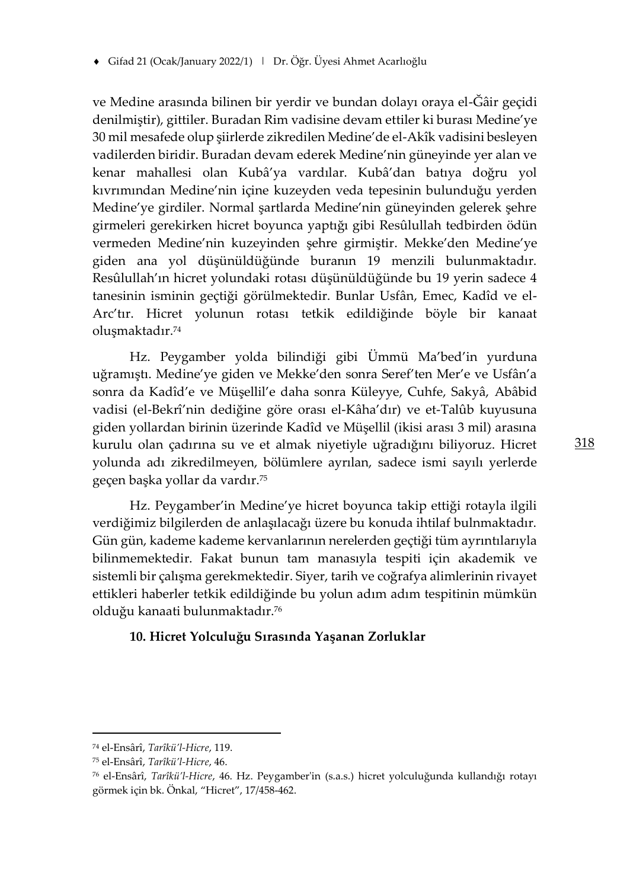ve Medine arasında bilinen bir yerdir ve bundan dolayı oraya el-Ğâir geçidi denilmiştir), gittiler. Buradan Rim vadisine devam ettiler ki burası Medine'ye 30 mil mesafede olup şiirlerde zikredilen Medine'de el-Akîk vadisini besleyen vadilerden biridir. Buradan devam ederek Medine'nin güneyinde yer alan ve kenar mahallesi olan Kubâ'ya vardılar. Kubâ'dan batıya doğru yol kıvrımından Medine'nin içine kuzeyden veda tepesinin bulunduğu yerden Medine'ye girdiler. Normal şartlarda Medine'nin güneyinden gelerek şehre girmeleri gerekirken hicret boyunca yaptığı gibi Resûlullah tedbirden ödün vermeden Medine'nin kuzeyinden şehre girmiştir. Mekke'den Medine'ye giden ana yol düşünüldüğünde buranın 19 menzili bulunmaktadır. Resûlullah'ın hicret yolundaki rotası düşünüldüğünde bu 19 yerin sadece 4 tanesinin isminin geçtiği görülmektedir. Bunlar Usfân, Emec, Kadîd ve el-Arc'tır. Hicret yolunun rotası tetkik edildiğinde böyle bir kanaat oluşmaktadır.<sup>74</sup>

Hz. Peygamber yolda bilindiği gibi Ümmü Ma'bed'in yurduna uğramıştı. Medine'ye giden ve Mekke'den sonra Seref'ten Mer'e ve Usfân'a sonra da Kadîd'e ve Müşellil'e daha sonra Küleyye, Cuhfe, Sakyâ, Abâbid vadisi (el-Bekrî'nin dediğine göre orası el-Kâha'dır) ve et-Talûb kuyusuna giden yollardan birinin üzerinde Kadîd ve Müşellil (ikisi arası 3 mil) arasına kurulu olan çadırına su ve et almak niyetiyle uğradığını biliyoruz. Hicret yolunda adı zikredilmeyen, bölümlere ayrılan, sadece ismi sayılı yerlerde geçen başka yollar da vardır.<sup>75</sup>

Hz. Peygamber'in Medine'ye hicret boyunca takip ettiği rotayla ilgili verdiğimiz bilgilerden de anlaşılacağı üzere bu konuda ihtilaf bulnmaktadır. Gün gün, kademe kademe kervanlarının nerelerden geçtiği tüm ayrıntılarıyla bilinmemektedir. Fakat bunun tam manasıyla tespiti için akademik ve sistemli bir çalışma gerekmektedir. Siyer, tarih ve coğrafya alimlerinin rivayet ettikleri haberler tetkik edildiğinde bu yolun adım adım tespitinin mümkün olduğu kanaati bulunmaktadır.<sup>76</sup>

## **10. Hicret Yolculuğu Sırasında Yaşanan Zorluklar**

<sup>74</sup> el-Ensârî, *Tarîkü'l-Hicre*, 119.

<sup>75</sup> el-Ensârî, *Tarîkü'l-Hicre*, 46.

<sup>76</sup> el-Ensârî, *Tarîkü'l-Hicre*, 46. Hz. Peygamber'in (s.a.s.) hicret yolculuğunda kullandığı rotayı görmek için bk. Önkal, "Hicret", 17/458-462.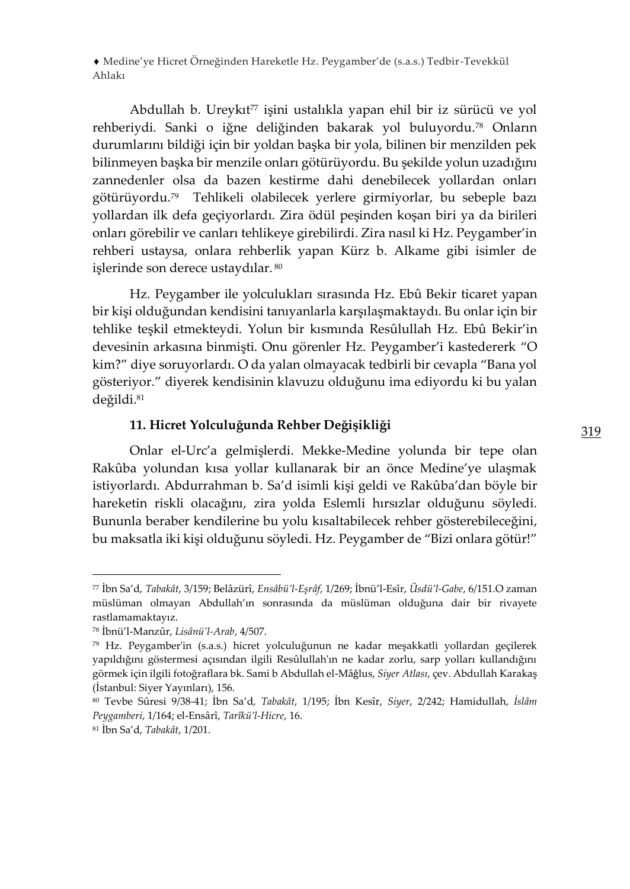Abdullah b. Ureykıt<sup>77</sup> işini ustalıkla yapan ehil bir iz sürücü ve yol rehberiydi. Sanki o iğne deliğinden bakarak yol buluyordu.<sup>78</sup> Onların durumlarını bildiği için bir yoldan başka bir yola, bilinen bir menzilden pek bilinmeyen başka bir menzile onları götürüyordu. Bu şekilde yolun uzadığını zannedenler olsa da bazen kestirme dahi denebilecek yollardan onları götürüyordu.<sup>79</sup> Tehlikeli olabilecek yerlere girmiyorlar, bu sebeple bazı yollardan ilk defa geçiyorlardı. Zira ödül peşinden koşan biri ya da birileri onları görebilir ve canları tehlikeye girebilirdi. Zira nasıl ki Hz. Peygamber'in rehberi ustaysa, onlara rehberlik yapan Kürz b. Alkame gibi isimler de işlerinde son derece ustaydılar. <sup>80</sup>

Hz. Peygamber ile yolculukları sırasında Hz. Ebû Bekir ticaret yapan bir kişi olduğundan kendisini tanıyanlarla karşılaşmaktaydı. Bu onlar için bir tehlike teşkil etmekteydi. Yolun bir kısmında Resûlullah Hz. Ebû Bekir'in devesinin arkasına binmişti. Onu görenler Hz. Peygamber'i kastedererk "O kim?" diye soruyorlardı. O da yalan olmayacak tedbirli bir cevapla "Bana yol gösteriyor." diyerek kendisinin klavuzu olduğunu ima ediyordu ki bu yalan değildi.<sup>81</sup>

# **11. Hicret Yolculuğunda Rehber Değişikliği**

Onlar el-Urc'a gelmişlerdi. Mekke-Medine yolunda bir tepe olan Rakûba yolundan kısa yollar kullanarak bir an önce Medine'ye ulaşmak istiyorlardı. Abdurrahman b. Sa'd isimli kişi geldi ve Rakûba'dan böyle bir hareketin riskli olacağını, zira yolda Eslemli hırsızlar olduğunu söyledi. Bununla beraber kendilerine bu yolu kısaltabilecek rehber gösterebileceğini, bu maksatla iki kişi olduğunu söyledi. Hz. Peygamber de "Bizi onlaragötür!"

<sup>77</sup> İbn Sa'd, *Tabakât*, 3/159; Belâzürî, *Ensâbü'l-Eşrâf*, 1/269; İbnü'l-Esîr, *Üsdü'l-Gabe*, 6/151.O zaman müslüman olmayan Abdullah'ın sonrasında da müslüman olduğuna dair bir rivayete rastlamamaktayız.

<sup>78</sup> İbnü'l-Manzûr, *Lisânü'l-Arab*, 4/507.

<sup>79</sup> Hz. Peygamber'in (s.a.s.) hicret yolculuğunun ne kadar meşakkatli yollardan geçilerek yapıldığını göstermesi açısından ilgili Resûlullah'ın ne kadar zorlu, sarp yolları kullandığını görmek için ilgili fotoğraflara bk. Sami b Abdullah el-Mâǧlus, *Siyer Atlası*, çev. Abdullah Karakaş (İstanbul: Siyer Yayınları), 156.

<sup>80</sup> Tevbe Sûresi 9/38-41; İbn Sa'd, *Tabakât*, 1/195; İbn Kesîr, *Siyer*, 2/242; Hamidullah, *İslâm Peygamberi*, 1/164; el-Ensârî, *Tarîkü'l-Hicre*, 16.

<sup>81</sup> İbn Sa'd, *Tabakât*, 1/201.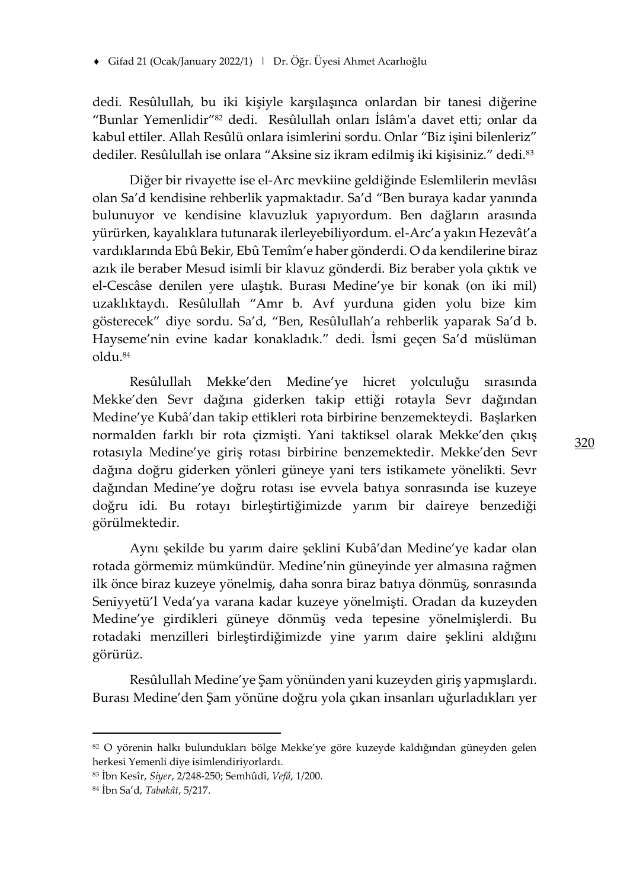dedi. Resûlullah, bu iki kişiyle karşılaşınca onlardan bir tanesi diğerine "Bunlar Yemenlidir"<sup>82</sup> dedi. Resûlullah onları İslâm'a davet etti; onlar da kabul ettiler. Allah Resûlü onlara isimlerini sordu. Onlar "Biz işini bilenleriz" dediler. Resûlullah ise onlara "Aksine siz ikram edilmiş iki kişisiniz." dedi.<sup>83</sup>

Diğer bir rivayette ise el-Arc mevkiine geldiğinde Eslemlilerin mevlâsı olan Sa'd kendisine rehberlik yapmaktadır. Sa'd "Ben buraya kadar yanında bulunuyor ve kendisine klavuzluk yapıyordum. Ben dağların arasında yürürken, kayalıklara tutunarak ilerleyebiliyordum. el-Arc'a yakın Hezevât'a vardıklarında Ebû Bekir, Ebû Temîm'e haber gönderdi. O da kendilerine biraz azık ile beraber Mesud isimli bir klavuz gönderdi. Biz beraber yola çıktık ve el-Cescâse denilen yere ulaştık. Burası Medine'ye bir konak (on iki mil) uzaklıktaydı. Resûlullah "Amr b. Avf yurduna giden yolu bize kim gösterecek" diye sordu. Sa'd, "Ben, Resûlullah'a rehberlik yaparak Sa'd b. Hayseme'nin evine kadar konakladık." dedi. İsmi geçen Sa'd müslüman oldu.<sup>84</sup>

Resûlullah Mekke'den Medine'ye hicret yolculuğu sırasında Mekke'den Sevr dağına giderken takip ettiği rotayla Sevr dağından Medine'ye Kubâ'dan takip ettikleri rota birbirine benzemekteydi. Başlarken normalden farklı bir rota çizmişti. Yani taktiksel olarak Mekke'den çıkış rotasıyla Medine'ye giriş rotası birbirine benzemektedir. Mekke'den Sevr dağına doğru giderken yönleri güneye yani ters istikamete yönelikti. Sevr dağından Medine'ye doğru rotası ise evvela batıya sonrasında ise kuzeye doğru idi. Bu rotayı birleştirtiğimizde yarım bir daireye benzediği görülmektedir.

Aynı şekilde bu yarım daire şeklini Kubâ'dan Medine'ye kadar olan rotada görmemiz mümkündür. Medine'nin güneyinde yer almasına rağmen ilk önce biraz kuzeye yönelmiş, daha sonra biraz batıya dönmüş, sonrasında Seniyyetü'l Veda'ya varana kadar kuzeye yönelmişti. Oradan da kuzeyden Medine'ye girdikleri güneye dönmüş veda tepesine yönelmişlerdi. Bu rotadaki menzilleri birleştirdiğimizde yine yarım daire şeklini aldığını görürüz.

Resûlullah Medine'ye Şam yönünden yani kuzeyden giriş yapmışlardı. Burası Medine'den Şam yönüne doğru yola çıkan insanları uğurladıkları yer

<sup>82</sup> O yörenin halkı bulundukları bölge Mekke'ye göre kuzeyde kaldığından güneyden gelen herkesi Yemenli diye isimlendiriyorlardı.

<sup>83</sup> İbn Kesîr, *Siyer*, 2/248-250; Semhûdî, *Vefâ*, 1/200.

<sup>84</sup> İbn Sa'd, *Tabakât*, 5/217.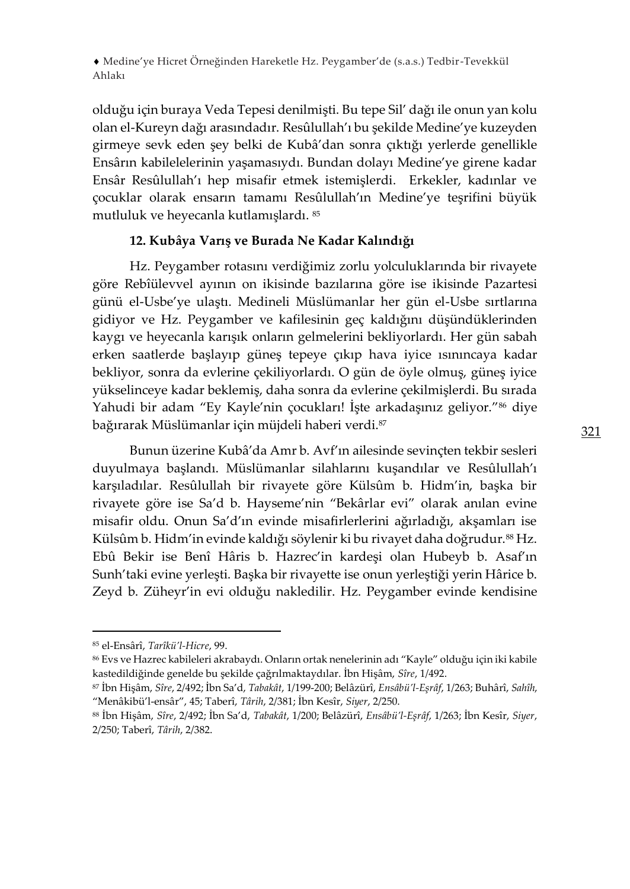olduğu için buraya Veda Tepesi denilmişti. Bu tepe Sil' dağı ile onun yan kolu olan el-Kureyn dağı arasındadır. Resûlullah'ı bu şekilde Medine'ye kuzeyden girmeye sevk eden şey belki de Kubâ'dan sonra çıktığı yerlerde genellikle Ensârın kabilelelerinin yaşamasıydı. Bundan dolayı Medine'ye girene kadar Ensâr Resûlullah'ı hep misafir etmek istemişlerdi. Erkekler, kadınlar ve çocuklar olarak ensarın tamamı Resûlullah'ın Medine'ye teşrifini büyük mutluluk ve heyecanla kutlamışlardı. <sup>85</sup>

# **12. Kubâya Varış ve Burada Ne Kadar Kalındığı**

Hz. Peygamber rotasını verdiğimiz zorlu yolculuklarında bir rivayete göre Rebîülevvel ayının on ikisinde bazılarına göre ise ikisinde Pazartesi günü el-Usbe'ye ulaştı. Medineli Müslümanlar her gün el-Usbe sırtlarına gidiyor ve Hz. Peygamber ve kafilesinin geç kaldığını düşündüklerinden kaygı ve heyecanla karışık onların gelmelerini bekliyorlardı. Her gün sabah erken saatlerde başlayıp güneş tepeye çıkıp hava iyice ısınıncaya kadar bekliyor, sonra da evlerine çekiliyorlardı. O gün de öyle olmuş, güneş iyice yükselinceye kadar beklemiş, daha sonra da evlerine çekilmişlerdi. Bu sırada Yahudi bir adam "Ey Kayle'nin çocukları! İşte arkadaşınız geliyor."<sup>86</sup> diye bağırarak Müslümanlar için müjdeli haberi verdi.<sup>87</sup>

Bunun üzerine Kubâ'da Amr b. Avf'ın ailesinde sevinçten tekbir sesleri duyulmaya başlandı. Müslümanlar silahlarını kuşandılar ve Resûlullah'ı karşıladılar. Resûlullah bir rivayete göre Külsûm b. Hidm'in, başka bir rivayete göre ise Sa'd b. Hayseme'nin "Bekârlar evi" olarak anılan evine misafir oldu. Onun Sa'd'ın evinde misafirlerlerini ağırladığı, akşamları ise Külsûm b. Hidm'in evinde kaldığı söylenir ki bu rivayet daha doğrudur.<sup>88</sup> Hz. Ebû Bekir ise Benî Hâris b. Hazrec'in kardeşi olan Hubeyb b. Asaf'ın Sunh'taki evine yerleşti. Başka bir rivayette ise onun yerleştiği yerin Hârice b. Zeyd b. Züheyr'in evi olduğu nakledilir. Hz. Peygamber evinde kendisine

<sup>85</sup> el-Ensârî, *Tarîkü'l-Hicre*, 99.

<sup>86</sup> Evs ve Hazrec kabileleri akrabaydı. Onların ortak nenelerinin adı "Kayle" olduğu için iki kabile kastedildiğinde genelde bu şekilde çağrılmaktaydılar. İbn Hişâm, *Sîre*, 1/492.

<sup>87</sup> İbn Hişâm, *Sîre*, 2/492; İbn Sa'd, *Tabakât*, 1/199-200; Belâzürî, *Ensâbü'l-Eşrâf*, 1/263; Buhârî, *Sahîh*, "Menâkibü'l-ensâr", 45; Taberî, *Târih*, 2/381; İbn Kesîr, *Siyer*, 2/250.

<sup>88</sup> İbn Hişâm, *Sîre*, 2/492; İbn Sa'd, *Tabakât*, 1/200; Belâzürî, *Ensâbü'l-Eşrâf*, 1/263; İbn Kesîr, *Siyer*, 2/250; Taberî, *Târih*, 2/382.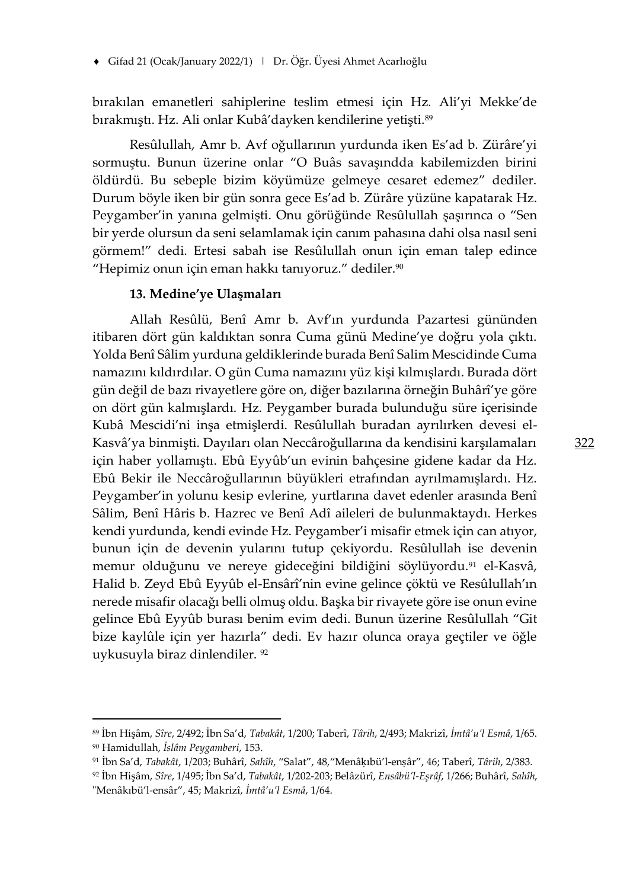bırakılan emanetleri sahiplerine teslim etmesi için Hz. Ali'yi Mekke'de bırakmıştı. Hz. Ali onlar Kubâ'dayken kendilerine yetişti.<sup>89</sup>

Resûlullah, Amr b. Avf oğullarının yurdunda iken Es'ad b. Zürâre'yi sormuştu. Bunun üzerine onlar "O Buâs savaşındda kabilemizden birini öldürdü. Bu sebeple bizim köyümüze gelmeye cesaret edemez" dediler. Durum böyle iken bir gün sonra gece Es'ad b. Zürâre yüzüne kapatarak Hz. Peygamber'in yanına gelmişti. Onu görüğünde Resûlullah şaşırınca o "Sen bir yerde olursun da seni selamlamak için canım pahasına dahi olsa nasıl seni görmem!" dedi. Ertesi sabah ise Resûlullah onun için eman talep edince "Hepimiz onun için eman hakkı tanıyoruz." dediler.<sup>90</sup>

#### **13. Medine'ye Ulaşmaları**

Allah Resûlü, Benî Amr b. Avf'ın yurdunda Pazartesi gününden itibaren dört gün kaldıktan sonra Cuma günü Medine'ye doğru yola çıktı. Yolda Benî Sâlim yurduna geldiklerinde burada Benî Salim Mescidinde Cuma namazını kıldırdılar. O gün Cuma namazını yüz kişi kılmışlardı. Burada dört gün değil de bazı rivayetlere göre on, diğer bazılarına örneğin Buhârî'ye göre on dört gün kalmışlardı. Hz. Peygamber burada bulunduğu süre içerisinde Kubâ Mescidi'ni inşa etmişlerdi. Resûlullah buradan ayrılırken devesi el-Kasvâ'ya binmişti. Dayıları olan Neccâroğullarına da kendisini karşılamaları için haber yollamıştı. Ebû Eyyûb'un evinin bahçesine gidene kadar da Hz. Ebû Bekir ile Neccâroğullarının büyükleri etrafından ayrılmamışlardı. Hz. Peygamber'in yolunu kesip evlerine, yurtlarına davet edenler arasında Benî Sâlim, Benî Hâris b. Hazrec ve Benî Adî aileleri de bulunmaktaydı. Herkes kendi yurdunda, kendi evinde Hz. Peygamber'i misafir etmek için can atıyor, bunun için de devenin yularını tutup çekiyordu. Resûlullah ise devenin memur olduğunu ve nereye gideceğini bildiğini söylüyordu.<sup>91</sup> el-Kasvâ, Halid b. Zeyd Ebû Eyyûb el-Ensârî'nin evine gelince çöktü ve Resûlullah'ın nerede misafir olacağı belli olmuş oldu. Başka bir rivayete göre ise onun evine gelince Ebû Eyyûb burası benim evim dedi. Bunun üzerine Resûlullah "Git bize kaylûle için yer hazırla" dedi. Ev hazır olunca oraya geçtiler ve öğle uykusuyla biraz dinlendiler. <sup>92</sup>

<sup>89</sup> İbn Hişâm, *Sîre*, 2/492; İbn Sa'd, *Tabakât*, 1/200; Taberî, *Târih*, 2/493; Makrizî, *İmtâ'u'l Esmâ*, 1/65.

<sup>90</sup> Hamidullah, *İslâm Peygamberi*, 153.

<sup>91</sup> İbn Sa'd, *Tabakât*, 1/203; Buhârî, *Sahîh*, "Salat", 48,"Menâḳıbü'l-enṣâr", 46; Taberî, *Târih*, 2/383.

<sup>92</sup> İbn Hişâm, *Sîre*, 1/495; İbn Sa'd, *Tabakât*, 1/202-203; Belâzürî, *Ensâbü'l-Eşrâf*, 1/266; Buhârî, *Sahîh*, "Menâkıbü'l-ensâr", 45; Makrizî, *İmtâ'u'l Esmâ*, 1/64.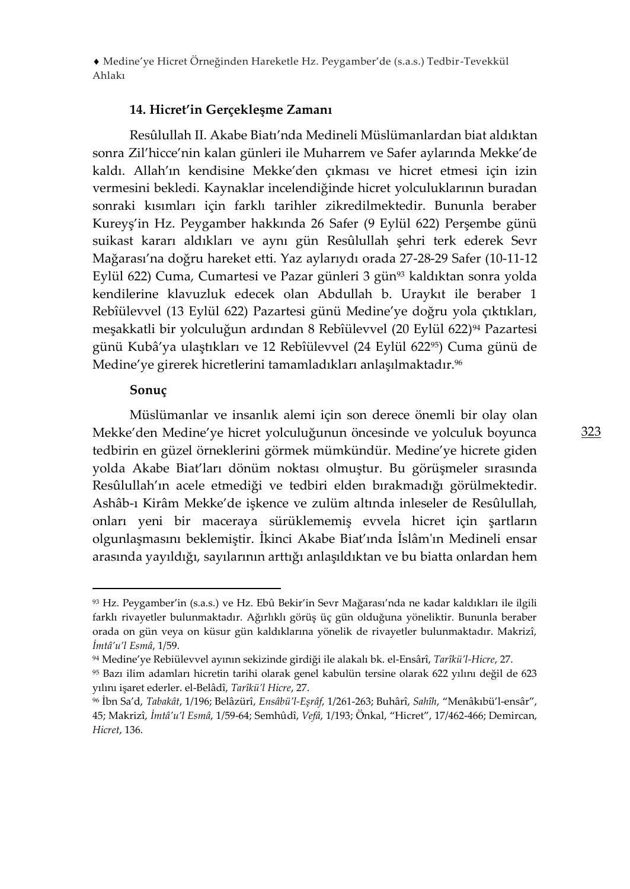## **14. Hicret'in Gerçekleşme Zamanı**

Resûlullah II. Akabe Biatı'nda Medineli Müslümanlardan biat aldıktan sonra Zil'hicce'nin kalan günleri ile Muharrem ve Safer aylarında Mekke'de kaldı. Allah'ın kendisine Mekke'den çıkması ve hicret etmesi için izin vermesini bekledi. Kaynaklar incelendiğinde hicret yolculuklarının buradan sonraki kısımları için farklı tarihler zikredilmektedir. Bununla beraber Kureyş'in Hz. Peygamber hakkında 26 Safer (9 Eylül 622) Perşembe günü suikast kararı aldıkları ve aynı gün Resûlullah şehri terk ederek Sevr Mağarası'na doğru hareket etti. Yaz aylarıydı orada 27-28-29 Safer (10-11-12 Eylül 622) Cuma, Cumartesi ve Pazar günleri 3 gün<sup>93</sup> kaldıktan sonra yolda kendilerine klavuzluk edecek olan Abdullah b. Uraykıt ile beraber 1 Rebîülevvel (13 Eylül 622) Pazartesi günü Medine'ye doğru yola çıktıkları, meşakkatli bir yolculuğun ardından 8 Rebîülevvel (20 Eylül 622)<sup>94</sup> Pazartesi günü Kubâ'ya ulaştıkları ve 12 Rebîülevvel (24 Eylül 62295) Cuma günü de Medine'ye girerek hicretlerini tamamladıkları anlaşılmaktadır.<sup>96</sup>

## **Sonuç**

Müslümanlar ve insanlık alemi için son derece önemli bir olay olan Mekke'den Medine'ye hicret yolculuğunun öncesinde ve yolculuk boyunca tedbirin en güzel örneklerini görmek mümkündür. Medine'ye hicrete giden yolda Akabe Biat'ları dönüm noktası olmuştur. Bu görüşmeler sırasında Resûlullah'ın acele etmediği ve tedbiri elden bırakmadığı görülmektedir. Ashâb-ı Kirâm Mekke'de işkence ve zulüm altında inleseler de Resûlullah, onları yeni bir maceraya sürüklememiş evvela hicret için şartların olgunlaşmasını beklemiştir. İkinci Akabe Biat'ında İslâm'ın Medineli ensar arasında yayıldığı, sayılarının arttığı anlaşıldıktan ve bu biatta onlardan hem

<sup>93</sup> Hz. Peygamber'in (s.a.s.) ve Hz. Ebû Bekir'in Sevr Mağarası'nda ne kadar kaldıkları ile ilgili farklı rivayetler bulunmaktadır. Ağırlıklı görüş üç gün olduğuna yöneliktir. Bununla beraber orada on gün veya on küsur gün kaldıklarına yönelik de rivayetler bulunmaktadır. Makrizî, *İmtâ'u'l Esmâ*, 1/59.

<sup>94</sup> Medine'ye Rebiülevvel ayının sekizinde girdiği ile alakalı bk. el-Ensârî, *Tarîkü'l-Hicre*, 27.

<sup>95</sup> Bazı ilim adamları hicretin tarihi olarak genel kabulün tersine olarak 622 yılını değil de 623 yılını işaret ederler. el-Belâdî, *Tarîkü'l Hicre*, 27.

<sup>96</sup> İbn Sa'd, *Tabakât*, 1/196; Belâzürî, *Ensâbü'l-Eşrâf*, 1/261-263; Buhârî, *Sahîh*, "Menâkıbü'l-ensâr", 45; Makrizî, *İmtâ'u'l Esmâ*, 1/59-64; Semhûdî, *Vefâ*, 1/193; Önkal, "Hicret", 17/462-466; Demircan, *Hicret*, 136.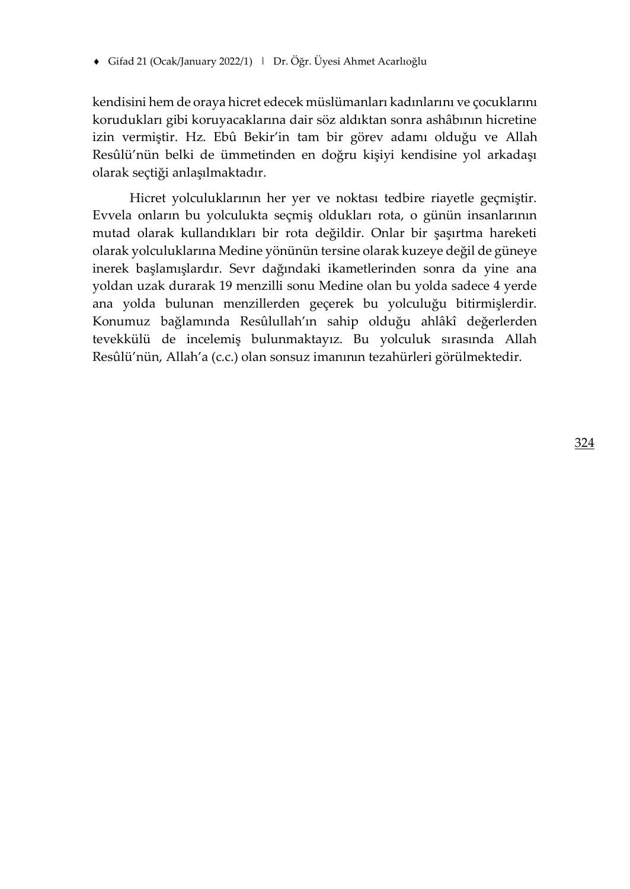kendisini hem de oraya hicret edecek müslümanları kadınlarını ve çocuklarını korudukları gibi koruyacaklarına dair söz aldıktan sonra ashâbının hicretine izin vermiştir. Hz. Ebû Bekir'in tam bir görev adamı olduğu ve Allah Resûlü'nün belki de ümmetinden en doğru kişiyi kendisine yol arkadaşı olarak seçtiği anlaşılmaktadır.

Hicret yolculuklarının her yer ve noktası tedbire riayetle geçmiştir. Evvela onların bu yolculukta seçmiş oldukları rota, o günün insanlarının mutad olarak kullandıkları bir rota değildir. Onlar bir şaşırtma hareketi olarak yolculuklarına Medine yönünün tersine olarak kuzeye değil de güneye inerek başlamışlardır. Sevr dağındaki ikametlerinden sonra da yine ana yoldan uzak durarak 19 menzilli sonu Medine olan bu yolda sadece 4 yerde ana yolda bulunan menzillerden geçerek bu yolculuğu bitirmişlerdir. Konumuz bağlamında Resûlullah'ın sahip olduğu ahlâkî değerlerden tevekkülü de incelemiş bulunmaktayız. Bu yolculuk sırasında Allah Resûlü'nün, Allah'a (c.c.) olan sonsuz imanının tezahürleri görülmektedir.

324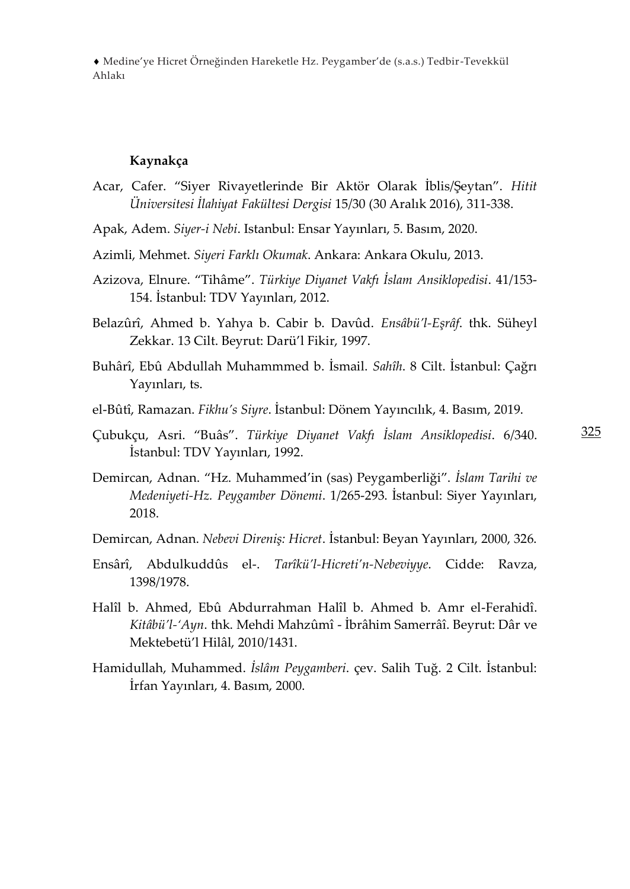#### **Kaynakça**

- Acar, Cafer. "Siyer Rivayetlerinde Bir Aktör Olarak İblis/Şeytan". *Hitit Üniversitesi İlahiyat Fakültesi Dergisi* 15/30 (30 Aralık 2016), 311-338.
- Apak, Adem. *Siyer-i Nebi*. Istanbul: Ensar Yayınları, 5. Basım, 2020.
- Azimli, Mehmet. *Siyeri Farklı Okumak*. Ankara: Ankara Okulu, 2013.
- Azizova, Elnure. "Tihâme". *Türkiye Diyanet Vakfı İslam Ansiklopedisi*. 41/153- 154. İstanbul: TDV Yayınları, 2012.
- Belazûrî, Ahmed b. Yahya b. Cabir b. Davûd. *Ensâbü'l-Eşrâf*. thk. Süheyl Zekkar. 13 Cilt. Beyrut: Darü'l Fikir, 1997.
- Buhârî, Ebû Abdullah Muhammmed b. İsmail. *Sahîh*. 8 Cilt. İstanbul: Çağrı Yayınları, ts.
- el-Bûtî, Ramazan. *Fikhu's Siyre*. İstanbul: Dönem Yayıncılık, 4. Basım, 2019.
- Çubukçu, Asri. "Buâs". *Türkiye Diyanet Vakfı İslam Ansiklopedisi*. 6/340. İstanbul: TDV Yayınları, 1992.
- Demircan, Adnan. "Hz. Muhammed'in (sas) Peygamberliği". *İslam Tarihi ve Medeniyeti-Hz. Peygamber Dönemi*. 1/265-293. İstanbul: Siyer Yayınları, 2018.
- Demircan, Adnan. *Nebevi Direniş: Hicret*. İstanbul: Beyan Yayınları, 2000, 326.
- Ensârî, Abdulkuddûs el-. *Tarîkü'l-Hicreti'n-Nebeviyye*. Cidde: Ravza, 1398/1978.
- Halîl b. Ahmed, Ebû Abdurrahman Halîl b. Ahmed b. Amr el-Ferahidî. *Kitâbü'l-'Ayn*. thk. Mehdi Mahzûmî - İbrâhim Samerrâî. Beyrut: Dâr ve Mektebetü'l Hilâl, 2010/1431.
- Hamidullah, Muhammed. *İslâm Peygamberi*. çev. Salih Tuğ. 2 Cilt. İstanbul: İrfan Yayınları, 4. Basım, 2000.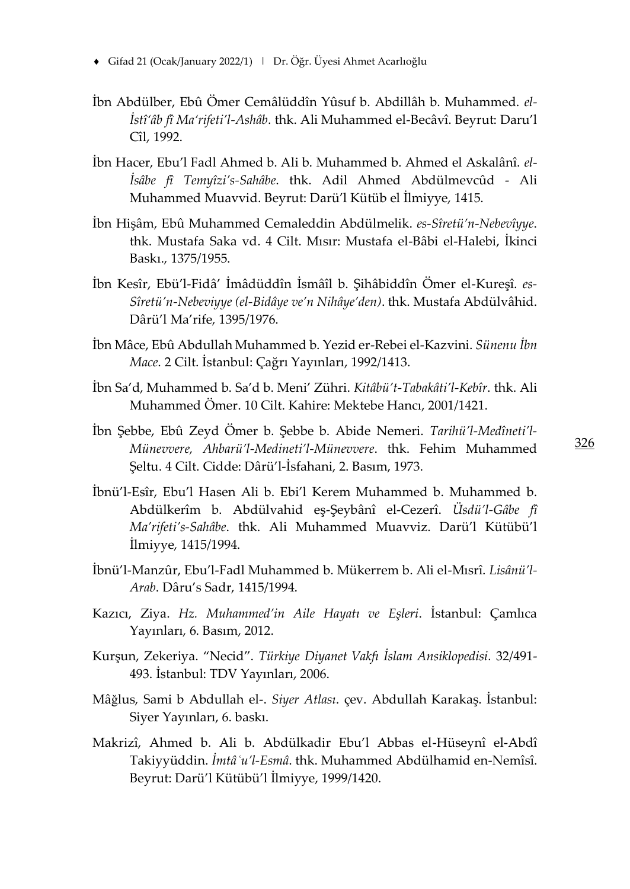- Gifad 21 (Ocak/January 2022/1) | Dr. Öğr. Üyesi Ahmet Acarlıoğlu
- İbn Abdülber, Ebû Ömer Cemâlüddîn Yûsuf b. Abdillâh b. Muhammed. *el-İstî'âb fî Ma'rifeti'l-Ashâb*. thk. Ali Muhammed el-Becâvî. Beyrut: Daru'l Cîl, 1992.
- İbn Hacer, Ebu'l Fadl Ahmed b. Ali b. Muhammed b. Ahmed el Askalânî. *el-İsâbe fî Temyîzi's-Sahâbe*. thk. Adil Ahmed Abdülmevcûd - Ali Muhammed Muavvid. Beyrut: Darü'l Kütüb el İlmiyye, 1415.
- İbn Hişâm, Ebû Muhammed Cemaleddin Abdülmelik. *es-Sîretü'n-Nebevîyye*. thk. Mustafa Saka vd. 4 Cilt. Mısır: Mustafa el-Bâbi el-Halebi, İkinci Baskı., 1375/1955.
- İbn Kesîr, Ebü'l-Fidâ' İmâdüddîn İsmâîl b. Şihâbiddîn Ömer el-Kureşî. *es-Sîretü'n-Nebeviyye (el-Bidâye ve'n Nihâye'den)*. thk. Mustafa Abdülvâhid. Dârü'l Ma'rife, 1395/1976.
- İbn Mâce, Ebû Abdullah Muhammed b. Yezid er-Rebei el-Kazvini. *Sünenu İbn Mace*. 2 Cilt. İstanbul: Çağrı Yayınları, 1992/1413.
- İbn Sa'd, Muhammed b. Sa'd b. Meni' Zühri. *Kitâbü't-Tabakâti'l-Kebîr*. thk. Ali Muhammed Ömer. 10 Cilt. Kahire: Mektebe Hancı, 2001/1421.
- İbn Şebbe, Ebû Zeyd Ömer b. Şebbe b. Abide Nemeri. *Tarihü'l-Medîneti'l-Münevvere, Ahbarü'l-Medineti'l-Münevvere*. thk. Fehim Muhammed Şeltu. 4 Cilt. Cidde: Dârü'l-İsfahani, 2. Basım, 1973.
- İbnü'l-Esîr, Ebu'l Hasen Ali b. Ebi'l Kerem Muhammed b. Muhammed b. Abdülkerîm b. Abdülvahid eş-Şeybânî el-Cezerî. *Üsdü'l-Gâbe fî Ma'rifeti's-Sahâbe*. thk. Ali Muhammed Muavviz. Darü'l Kütübü'l İlmiyye, 1415/1994.
- İbnü'l-Manzûr, Ebu'l-Fadl Muhammed b. Mükerrem b. Ali el-Mısrî. *Lisânü'l-Arab*. Dâru's Sadr, 1415/1994.
- Kazıcı, Ziya. *Hz. Muhammed'in Aile Hayatı ve Eşleri*. İstanbul: Çamlıca Yayınları, 6. Basım, 2012.
- Kurşun, Zekeriya. "Necid". *Türkiye Diyanet Vakfı İslam Ansiklopedisi.* 32/491- 493. İstanbul: TDV Yayınları, 2006.
- Mâǧlus, Sami b Abdullah el-. *Siyer Atlası*. çev. Abdullah Karakaş. İstanbul: Siyer Yayınları, 6. baskı.
- Makrizî, Ahmed b. Ali b. Abdülkadir Ebu'l Abbas el-Hüseynî el-Abdî Takiyyüddin. *İmtâʿu'l-Esmâ*. thk. Muhammed Abdülhamid en-Nemîsî. Beyrut: Darü'l Kütübü'l İlmiyye, 1999/1420.